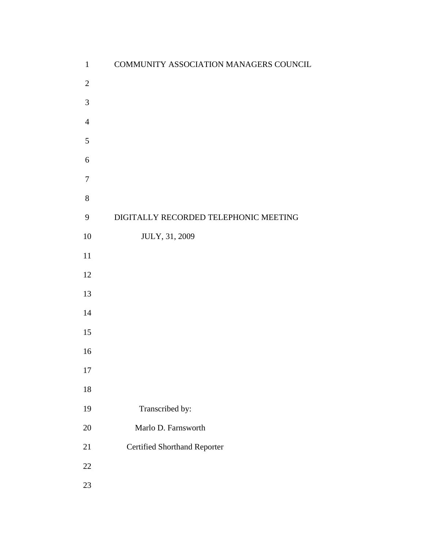| $\mathbf{1}$   | COMMUNITY ASSOCIATION MANAGERS COUNCIL |
|----------------|----------------------------------------|
| $\sqrt{2}$     |                                        |
| $\mathfrak{Z}$ |                                        |
| $\overline{4}$ |                                        |
| $\sqrt{5}$     |                                        |
| 6              |                                        |
| $\overline{7}$ |                                        |
| $8\,$          |                                        |
| 9              | DIGITALLY RECORDED TELEPHONIC MEETING  |
| $10\,$         | JULY, 31, 2009                         |
| $11\,$         |                                        |
| 12             |                                        |
| 13             |                                        |
| 14             |                                        |
| 15             |                                        |
| 16             |                                        |
| 17             |                                        |
| $18\,$         |                                        |
| 19             | Transcribed by:                        |
| $20\,$         | Marlo D. Farnsworth                    |
| 21             | <b>Certified Shorthand Reporter</b>    |
| $22\,$         |                                        |
| $23\,$         |                                        |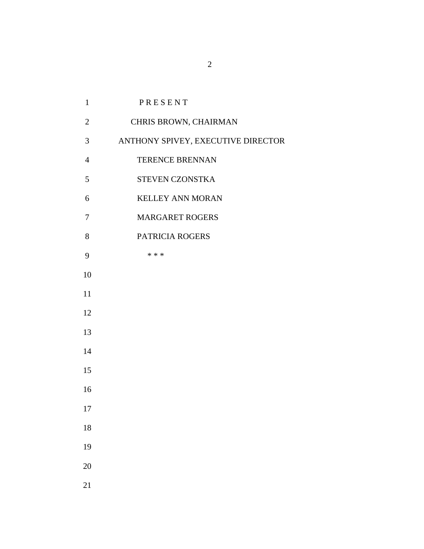| $\mathbf{1}$   | PRESENT                            |
|----------------|------------------------------------|
| $\overline{2}$ | CHRIS BROWN, CHAIRMAN              |
| 3              | ANTHONY SPIVEY, EXECUTIVE DIRECTOR |
| $\overline{4}$ | TERENCE BRENNAN                    |
| 5              | STEVEN CZONSTKA                    |
| 6              | <b>KELLEY ANN MORAN</b>            |
| 7              | <b>MARGARET ROGERS</b>             |
| 8              | PATRICIA ROGERS                    |
| 9              | * * *                              |
| 10             |                                    |
| 11             |                                    |
| 12             |                                    |
| 13             |                                    |
| 14             |                                    |
| 15             |                                    |
| 16             |                                    |
| 17             |                                    |
| 18             |                                    |
| 19             |                                    |
| 20             |                                    |
|                |                                    |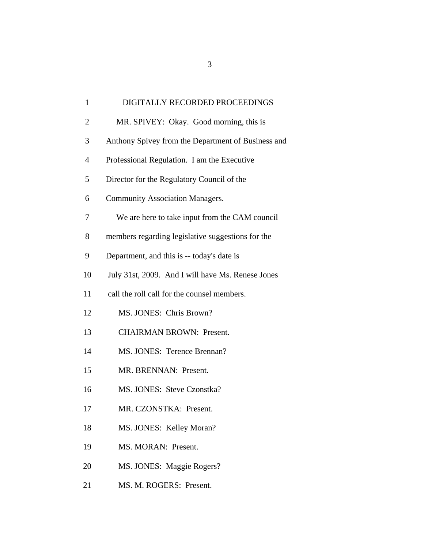| DIGITALLY RECORDED PROCEEDINGS<br>$\mathbf{1}$                |
|---------------------------------------------------------------|
| $\overline{2}$<br>MR. SPIVEY: Okay. Good morning, this is     |
| 3<br>Anthony Spivey from the Department of Business and       |
| $\overline{4}$<br>Professional Regulation. I am the Executive |
| 5<br>Director for the Regulatory Council of the               |
| 6<br><b>Community Association Managers.</b>                   |
| We are here to take input from the CAM council<br>7           |
| 8<br>members regarding legislative suggestions for the        |
| 9<br>Department, and this is -- today's date is               |
| 10<br>July 31st, 2009. And I will have Ms. Renese Jones       |
| 11<br>call the roll call for the counsel members.             |
| 12<br>MS. JONES: Chris Brown?                                 |
| 13<br><b>CHAIRMAN BROWN: Present.</b>                         |
| MS. JONES: Terence Brennan?<br>14                             |
| 15<br>MR. BRENNAN: Present.                                   |
| 16<br>MS. JONES: Steve Czonstka?                              |
| MR. CZONSTKA: Present.<br>17                                  |
| 18<br>MS. JONES: Kelley Moran?                                |
| MS. MORAN: Present.<br>19                                     |
| 20<br>MS. JONES: Maggie Rogers?                               |
| 21<br>MS. M. ROGERS: Present.                                 |
|                                                               |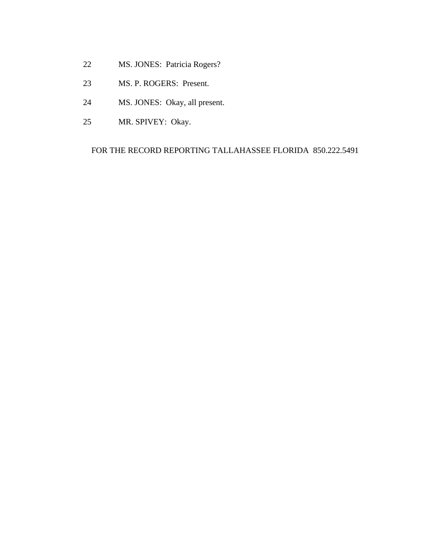- 22 MS. JONES: Patricia Rogers?
- 23 MS. P. ROGERS: Present.
- 24 MS. JONES: Okay, all present.
- 25 MR. SPIVEY: Okay.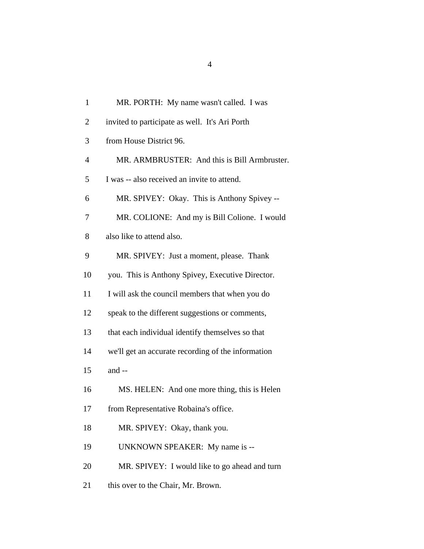| $\mathbf{1}$   | MR. PORTH: My name wasn't called. I was            |
|----------------|----------------------------------------------------|
| $\overline{2}$ | invited to participate as well. It's Ari Porth     |
| 3              | from House District 96.                            |
| $\overline{4}$ | MR. ARMBRUSTER: And this is Bill Armbruster.       |
| 5              | I was -- also received an invite to attend.        |
| 6              | MR. SPIVEY: Okay. This is Anthony Spivey --        |
| 7              | MR. COLIONE: And my is Bill Colione. I would       |
| 8              | also like to attend also.                          |
| 9              | MR. SPIVEY: Just a moment, please. Thank           |
| 10             | you. This is Anthony Spivey, Executive Director.   |
| 11             | I will ask the council members that when you do    |
| 12             | speak to the different suggestions or comments,    |
| 13             | that each individual identify themselves so that   |
| 14             | we'll get an accurate recording of the information |
| 15             | and --                                             |
| 16             | MS. HELEN: And one more thing, this is Helen       |
| 17             | from Representative Robaina's office.              |
| 18             | MR. SPIVEY: Okay, thank you.                       |
| 19             | UNKNOWN SPEAKER: My name is --                     |
| 20             | MR. SPIVEY: I would like to go ahead and turn      |
| 21             | this over to the Chair, Mr. Brown.                 |
|                |                                                    |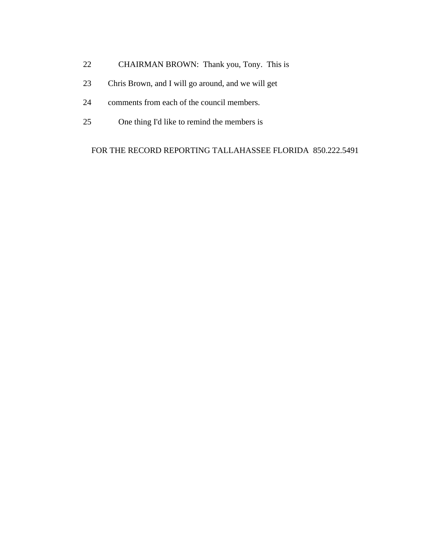- 22 CHAIRMAN BROWN: Thank you, Tony. This is
- 23 Chris Brown, and I will go around, and we will get
- 24 comments from each of the council members.
- 25 One thing I'd like to remind the members is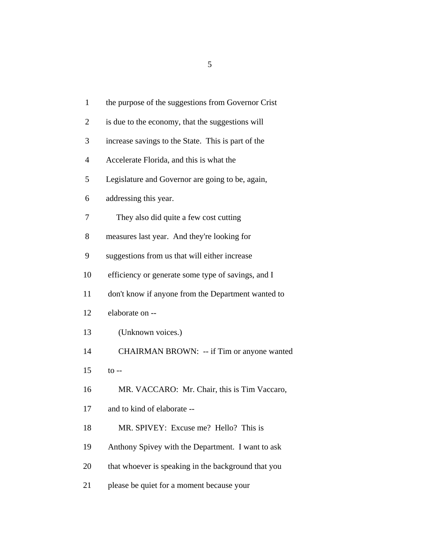| $\mathbf{1}$   | the purpose of the suggestions from Governor Crist  |
|----------------|-----------------------------------------------------|
| $\overline{2}$ | is due to the economy, that the suggestions will    |
| 3              | increase savings to the State. This is part of the  |
| $\overline{4}$ | Accelerate Florida, and this is what the            |
| 5              | Legislature and Governor are going to be, again,    |
| 6              | addressing this year.                               |
| 7              | They also did quite a few cost cutting              |
| 8              | measures last year. And they're looking for         |
| 9              | suggestions from us that will either increase       |
| 10             | efficiency or generate some type of savings, and I  |
| 11             | don't know if anyone from the Department wanted to  |
| 12             | elaborate on --                                     |
| 13             | (Unknown voices.)                                   |
| 14             | CHAIRMAN BROWN: -- if Tim or anyone wanted          |
| 15             | $\mathfrak{t}$ o --                                 |
| 16             | MR. VACCARO: Mr. Chair, this is Tim Vaccaro,        |
| 17             | and to kind of elaborate --                         |
| 18             | MR. SPIVEY: Excuse me? Hello? This is               |
| 19             | Anthony Spivey with the Department. I want to ask   |
| 20             | that whoever is speaking in the background that you |
| 21             | please be quiet for a moment because your           |

 $\overline{5}$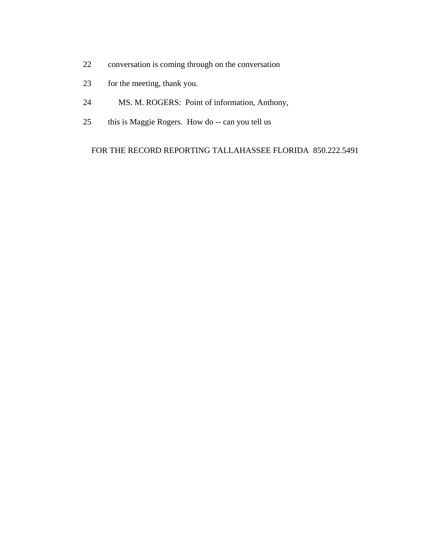- 22 conversation is coming through on the conversation
- 23 for the meeting, thank you.
- 24 MS. M. ROGERS: Point of information, Anthony,
- 25 this is Maggie Rogers. How do -- can you tell us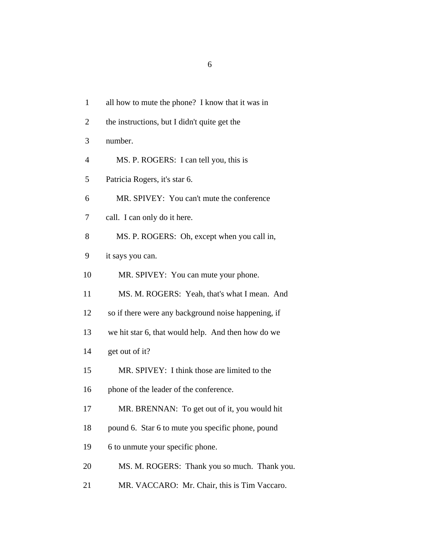| $\mathbf{1}$   | all how to mute the phone? I know that it was in    |
|----------------|-----------------------------------------------------|
| $\overline{2}$ | the instructions, but I didn't quite get the        |
| 3              | number.                                             |
| $\overline{4}$ | MS. P. ROGERS: I can tell you, this is              |
| 5              | Patricia Rogers, it's star 6.                       |
| 6              | MR. SPIVEY: You can't mute the conference           |
| 7              | call. I can only do it here.                        |
| 8              | MS. P. ROGERS: Oh, except when you call in,         |
| 9              | it says you can.                                    |
| 10             | MR. SPIVEY: You can mute your phone.                |
| 11             | MS. M. ROGERS: Yeah, that's what I mean. And        |
| 12             | so if there were any background noise happening, if |
| 13             | we hit star 6, that would help. And then how do we  |
| 14             | get out of it?                                      |
| 15             | MR. SPIVEY: I think those are limited to the        |
| 16             | phone of the leader of the conference.              |
| 17             | MR. BRENNAN: To get out of it, you would hit        |
| 18             | pound 6. Star 6 to mute you specific phone, pound   |
| 19             | 6 to unmute your specific phone.                    |
| 20             | MS. M. ROGERS: Thank you so much. Thank you.        |
| 21             | MR. VACCARO: Mr. Chair, this is Tim Vaccaro.        |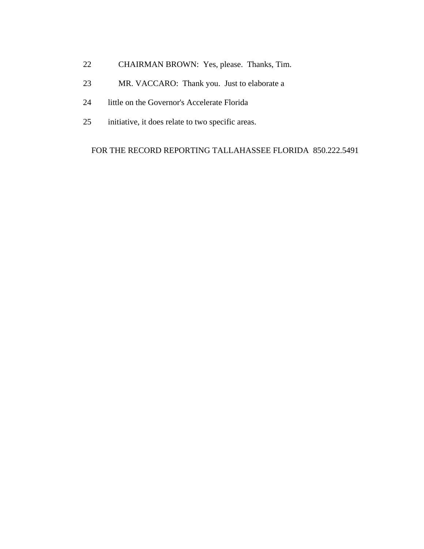- 22 CHAIRMAN BROWN: Yes, please. Thanks, Tim.
- 23 MR. VACCARO: Thank you. Just to elaborate a
- 24 little on the Governor's Accelerate Florida
- 25 initiative, it does relate to two specific areas.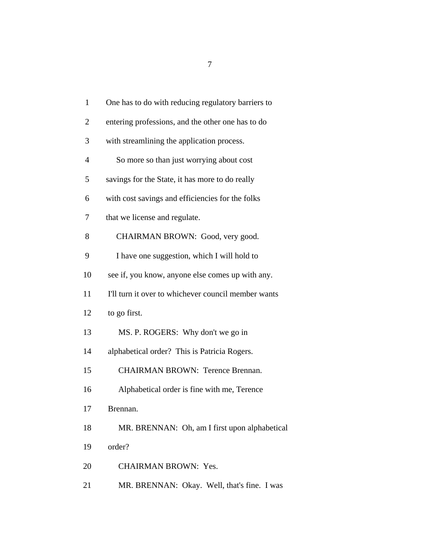| $\mathbf{1}$   | One has to do with reducing regulatory barriers to  |
|----------------|-----------------------------------------------------|
| $\overline{2}$ | entering professions, and the other one has to do   |
| 3              | with streamlining the application process.          |
| 4              | So more so than just worrying about cost            |
| 5              | savings for the State, it has more to do really     |
| 6              | with cost savings and efficiencies for the folks    |
| 7              | that we license and regulate.                       |
| 8              | CHAIRMAN BROWN: Good, very good.                    |
| 9              | I have one suggestion, which I will hold to         |
| 10             | see if, you know, anyone else comes up with any.    |
| 11             | I'll turn it over to whichever council member wants |
| 12             | to go first.                                        |
| 13             | MS. P. ROGERS: Why don't we go in                   |
| 14             | alphabetical order? This is Patricia Rogers.        |
| 15             | <b>CHAIRMAN BROWN: Terence Brennan.</b>             |
| 16             | Alphabetical order is fine with me, Terence         |
| 17             | Brennan.                                            |
| 18             | MR. BRENNAN: Oh, am I first upon alphabetical       |
| 19             | order?                                              |
| 20             | <b>CHAIRMAN BROWN: Yes.</b>                         |
|                |                                                     |

- 
- 21 MR. BRENNAN: Okay. Well, that's fine. I was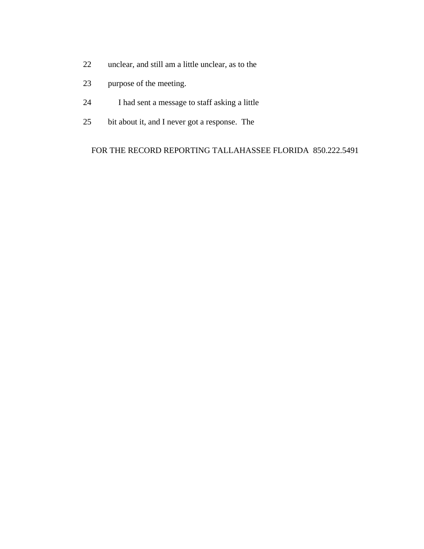- 22 unclear, and still am a little unclear, as to the
- 23 purpose of the meeting.
- 24 I had sent a message to staff asking a little
- 25 bit about it, and I never got a response. The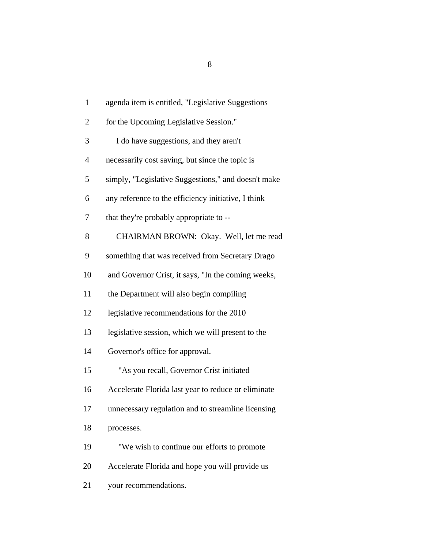| $\mathbf{1}$   | agenda item is entitled, "Legislative Suggestions   |
|----------------|-----------------------------------------------------|
| $\overline{2}$ | for the Upcoming Legislative Session."              |
| 3              | I do have suggestions, and they aren't              |
| $\overline{4}$ | necessarily cost saving, but since the topic is     |
| 5              | simply, "Legislative Suggestions," and doesn't make |
| 6              | any reference to the efficiency initiative, I think |
| 7              | that they're probably appropriate to --             |
| 8              | CHAIRMAN BROWN: Okay. Well, let me read             |
| 9              | something that was received from Secretary Drago    |
| 10             | and Governor Crist, it says, "In the coming weeks,  |
| 11             | the Department will also begin compiling            |
| 12             | legislative recommendations for the 2010            |
| 13             | legislative session, which we will present to the   |
| 14             | Governor's office for approval.                     |
| 15             | "As you recall, Governor Crist initiated            |
| 16             | Accelerate Florida last year to reduce or eliminate |
| 17             | unnecessary regulation and to streamline licensing  |
| 18             | processes.                                          |
| 19             | "We wish to continue our efforts to promote         |
| 20             | Accelerate Florida and hope you will provide us     |
| 21             | your recommendations.                               |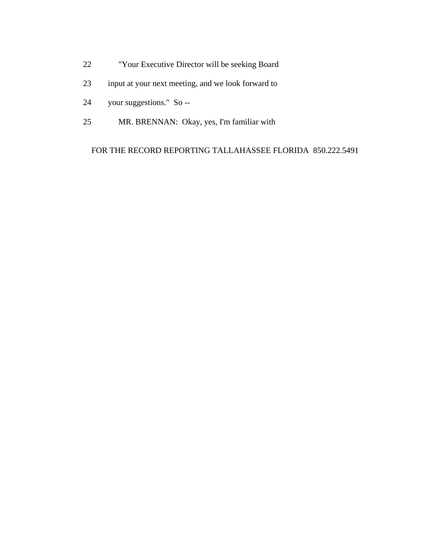- 22 "Your Executive Director will be seeking Board
- 23 input at your next meeting, and we look forward to
- 24 your suggestions." So --
- 25 MR. BRENNAN: Okay, yes, I'm familiar with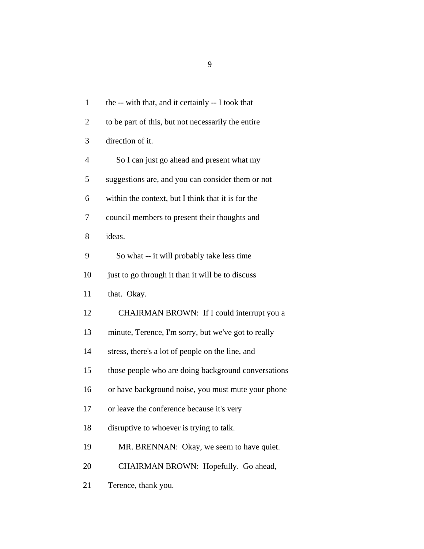1 the -- with that, and it certainly -- I took that 2 to be part of this, but not necessarily the entire 3 direction of it. 4 So I can just go ahead and present what my 5 suggestions are, and you can consider them or not 6 within the context, but I think that it is for the 7 council members to present their thoughts and 8 ideas. 9 So what -- it will probably take less time 10 just to go through it than it will be to discuss 11 that. Okay. 12 CHAIRMAN BROWN: If I could interrupt you a 13 minute, Terence, I'm sorry, but we've got to really 14 stress, there's a lot of people on the line, and 15 those people who are doing background conversations 16 or have background noise, you must mute your phone 17 or leave the conference because it's very 18 disruptive to whoever is trying to talk. 19 MR. BRENNAN: Okay, we seem to have quiet. 20 CHAIRMAN BROWN: Hopefully. Go ahead,

21 Terence, thank you.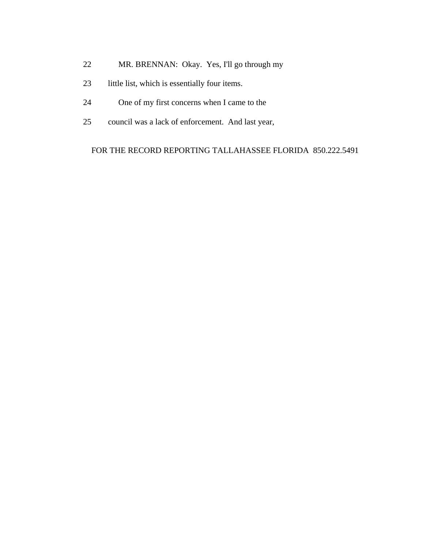- 22 MR. BRENNAN: Okay. Yes, I'll go through my
- 23 little list, which is essentially four items.
- 24 One of my first concerns when I came to the
- 25 council was a lack of enforcement. And last year,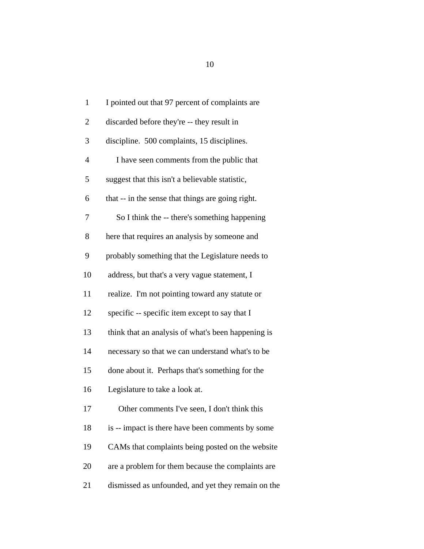| $\mathbf{1}$   | I pointed out that 97 percent of complaints are    |
|----------------|----------------------------------------------------|
| $\overline{2}$ | discarded before they're -- they result in         |
| 3              | discipline. 500 complaints, 15 disciplines.        |
| $\overline{4}$ | I have seen comments from the public that          |
| 5              | suggest that this isn't a believable statistic,    |
| 6              | that -- in the sense that things are going right.  |
| 7              | So I think the -- there's something happening      |
| 8              | here that requires an analysis by someone and      |
| 9              | probably something that the Legislature needs to   |
| 10             | address, but that's a very vague statement, I      |
| 11             | realize. I'm not pointing toward any statute or    |
| 12             | specific -- specific item except to say that I     |
| 13             | think that an analysis of what's been happening is |
| 14             | necessary so that we can understand what's to be   |
| 15             | done about it. Perhaps that's something for the    |
| 16             | Legislature to take a look at.                     |
| 17             | Other comments I've seen, I don't think this       |
| 18             | is -- impact is there have been comments by some   |
| 19             | CAMs that complaints being posted on the website   |
| 20             | are a problem for them because the complaints are  |
| 21             | dismissed as unfounded, and yet they remain on the |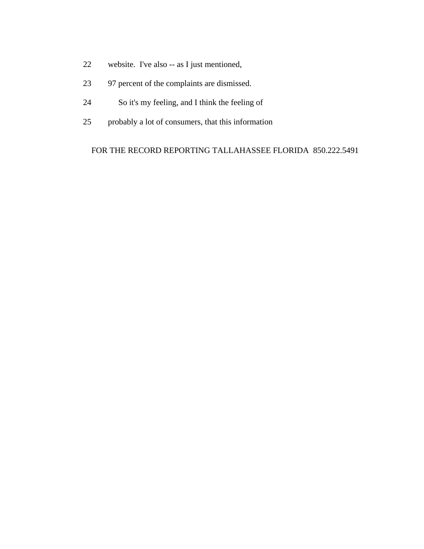- 22 website. I've also -- as I just mentioned,
- 23 97 percent of the complaints are dismissed.
- 24 So it's my feeling, and I think the feeling of
- 25 probably a lot of consumers, that this information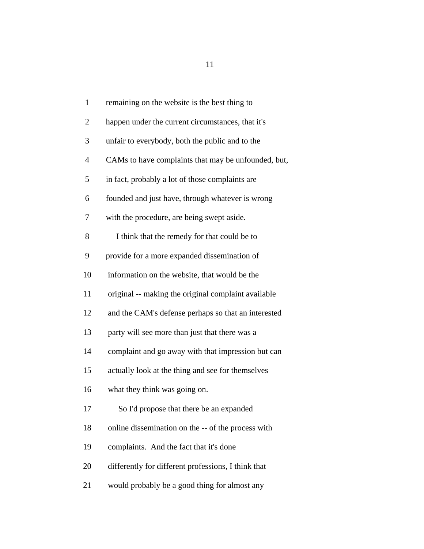| $\mathbf{1}$             | remaining on the website is the best thing to       |
|--------------------------|-----------------------------------------------------|
| $\overline{2}$           | happen under the current circumstances, that it's   |
| 3                        | unfair to everybody, both the public and to the     |
| $\overline{\mathcal{A}}$ | CAMs to have complaints that may be unfounded, but, |
| 5                        | in fact, probably a lot of those complaints are     |
| 6                        | founded and just have, through whatever is wrong    |
| 7                        | with the procedure, are being swept aside.          |
| 8                        | I think that the remedy for that could be to        |
| 9                        | provide for a more expanded dissemination of        |
| 10                       | information on the website, that would be the       |
| 11                       | original -- making the original complaint available |
| 12                       | and the CAM's defense perhaps so that an interested |
| 13                       | party will see more than just that there was a      |
| 14                       | complaint and go away with that impression but can  |
| 15                       | actually look at the thing and see for themselves   |
| 16                       | what they think was going on.                       |
| 17                       | So I'd propose that there be an expanded            |
| 18                       | online dissemination on the -- of the process with  |
| 19                       | complaints. And the fact that it's done             |
| 20                       | differently for different professions, I think that |
| 21                       | would probably be a good thing for almost any       |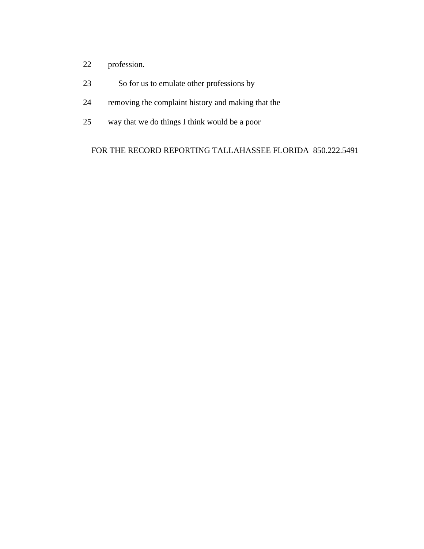- 22 profession.
- 23 So for us to emulate other professions by
- 24 removing the complaint history and making that the
- 25 way that we do things I think would be a poor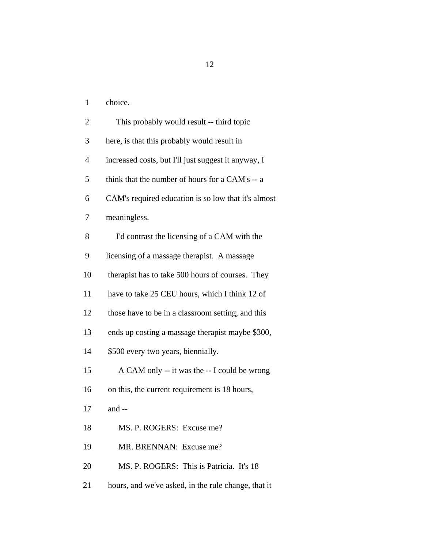1 choice.

| $\overline{2}$ | This probably would result -- third topic           |
|----------------|-----------------------------------------------------|
| 3              | here, is that this probably would result in         |
| $\overline{4}$ | increased costs, but I'll just suggest it anyway, I |
| 5              | think that the number of hours for a CAM's -- a     |
| 6              | CAM's required education is so low that it's almost |
| 7              | meaningless.                                        |
| 8              | I'd contrast the licensing of a CAM with the        |
| 9              | licensing of a massage therapist. A massage         |
| 10             | therapist has to take 500 hours of courses. They    |
| 11             | have to take 25 CEU hours, which I think 12 of      |
| 12             | those have to be in a classroom setting, and this   |
| 13             | ends up costing a massage therapist maybe \$300,    |
| 14             | \$500 every two years, biennially.                  |
| 15             | A CAM only -- it was the -- I could be wrong        |
| 16             | on this, the current requirement is 18 hours,       |
| 17             | and --                                              |
| 18             | MS. P. ROGERS: Excuse me?                           |
| 19             | MR. BRENNAN: Excuse me?                             |
| 20             | MS. P. ROGERS: This is Patricia. It's 18            |
| 21             | hours, and we've asked, in the rule change, that it |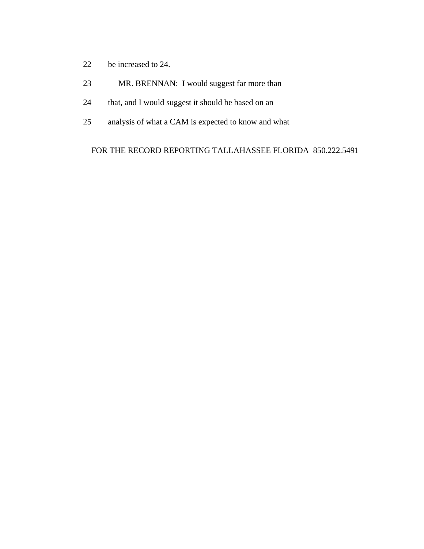- 22 be increased to 24.
- 23 MR. BRENNAN: I would suggest far more than
- 24 that, and I would suggest it should be based on an
- 25 analysis of what a CAM is expected to know and what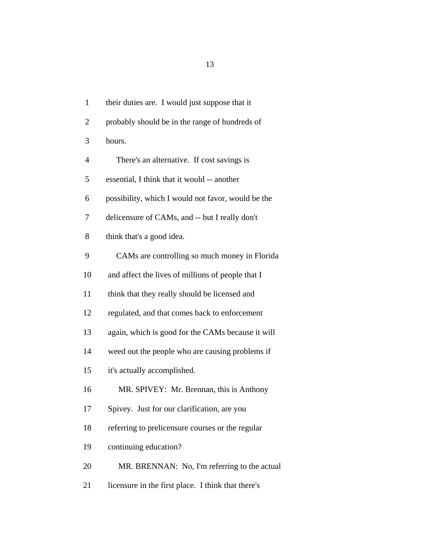1 their duties are. I would just suppose that it 2 probably should be in the range of hundreds of 3 hours. 4 There's an alternative. If cost savings is 5 essential, I think that it would -- another 6 possibility, which I would not favor, would be the 7 delicensure of CAMs, and -- but I really don't 8 think that's a good idea. 9 CAMs are controlling so much money in Florida 10 and affect the lives of millions of people that I 11 think that they really should be licensed and 12 regulated, and that comes back to enforcement 13 again, which is good for the CAMs because it will 14 weed out the people who are causing problems if 15 it's actually accomplished. 16 MR. SPIVEY: Mr. Brennan, this is Anthony 17 Spivey. Just for our clarification, are you 18 referring to prelicensure courses or the regular 19 continuing education? 20 MR. BRENNAN: No, I'm referring to the actual

21 licensure in the first place. I think that there's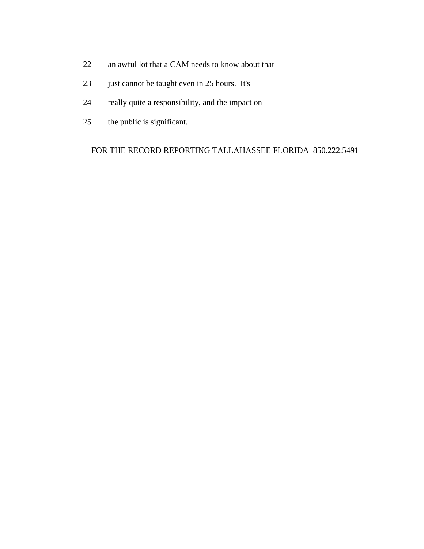- 22 an awful lot that a CAM needs to know about that
- 23 just cannot be taught even in 25 hours. It's
- 24 really quite a responsibility, and the impact on
- 25 the public is significant.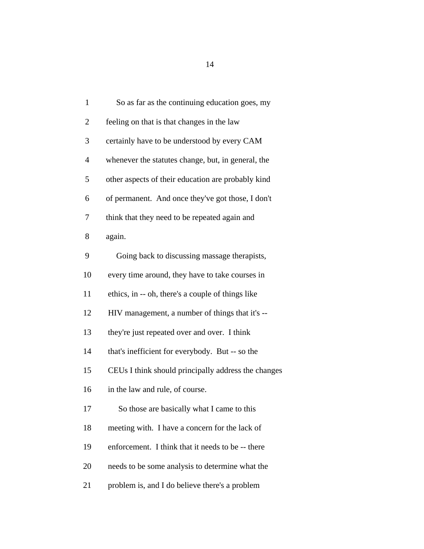| $\mathbf{1}$   | So as far as the continuing education goes, my      |
|----------------|-----------------------------------------------------|
| $\overline{2}$ | feeling on that is that changes in the law          |
| 3              | certainly have to be understood by every CAM        |
| $\overline{4}$ | whenever the statutes change, but, in general, the  |
| 5              | other aspects of their education are probably kind  |
| 6              | of permanent. And once they've got those, I don't   |
| 7              | think that they need to be repeated again and       |
| 8              | again.                                              |
| 9              | Going back to discussing massage therapists,        |
| 10             | every time around, they have to take courses in     |
| 11             | ethics, in -- oh, there's a couple of things like   |
| 12             | HIV management, a number of things that it's --     |
| 13             | they're just repeated over and over. I think        |
| 14             | that's inefficient for everybody. But -- so the     |
| 15             | CEUs I think should principally address the changes |
| 16             | in the law and rule, of course.                     |
| 17             | So those are basically what I came to this          |
| 18             | meeting with. I have a concern for the lack of      |
| 19             | enforcement. I think that it needs to be -- there   |
| 20             | needs to be some analysis to determine what the     |
| 21             | problem is, and I do believe there's a problem      |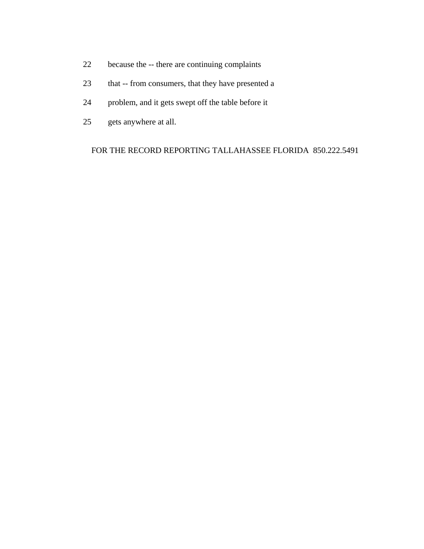- 22 because the -- there are continuing complaints
- 23 that -- from consumers, that they have presented a
- 24 problem, and it gets swept off the table before it
- 25 gets anywhere at all.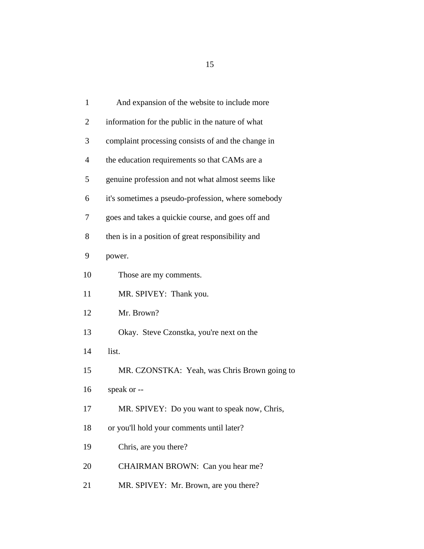| $\mathbf{1}$<br>And expansion of the website to include more       |
|--------------------------------------------------------------------|
| $\overline{2}$<br>information for the public in the nature of what |
| 3<br>complaint processing consists of and the change in            |
| $\overline{4}$<br>the education requirements so that CAMs are a    |
| 5<br>genuine profession and not what almost seems like             |
| 6<br>it's sometimes a pseudo-profession, where somebody            |
| 7<br>goes and takes a quickie course, and goes off and             |
| 8<br>then is in a position of great responsibility and             |
| 9<br>power.                                                        |
| 10<br>Those are my comments.                                       |
| 11<br>MR. SPIVEY: Thank you.                                       |
| 12<br>Mr. Brown?                                                   |
| 13<br>Okay. Steve Czonstka, you're next on the                     |
| list.<br>14                                                        |
| 15<br>MR. CZONSTKA: Yeah, was Chris Brown going to                 |
| 16<br>speak or --                                                  |
| MR. SPIVEY: Do you want to speak now, Chris,<br>17                 |
| 18<br>or you'll hold your comments until later?                    |
| Chris, are you there?<br>19                                        |
| CHAIRMAN BROWN: Can you hear me?<br>20                             |
| MR. SPIVEY: Mr. Brown, are you there?<br>21                        |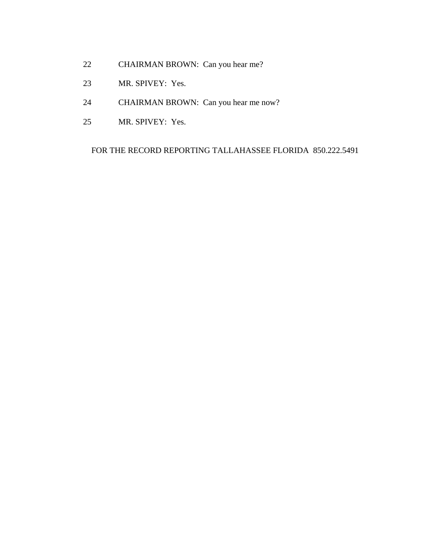- 22 CHAIRMAN BROWN: Can you hear me?
- 23 MR. SPIVEY: Yes.
- 24 CHAIRMAN BROWN: Can you hear me now?
- 25 MR. SPIVEY: Yes.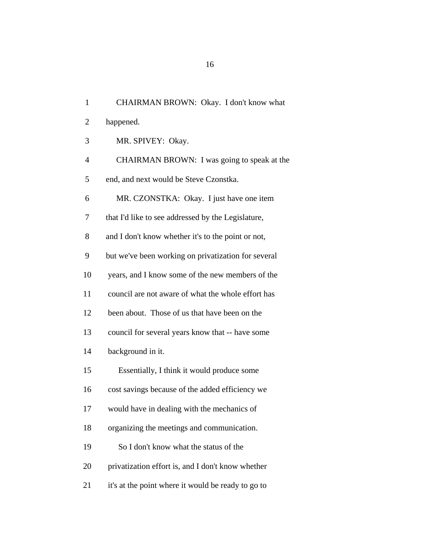| $\mathbf{1}$   | CHAIRMAN BROWN: Okay. I don't know what             |
|----------------|-----------------------------------------------------|
| $\overline{2}$ | happened.                                           |
| 3              | MR. SPIVEY: Okay.                                   |
| $\overline{4}$ | CHAIRMAN BROWN: I was going to speak at the         |
| 5              | end, and next would be Steve Czonstka.              |
| 6              | MR. CZONSTKA: Okay. I just have one item            |
| 7              | that I'd like to see addressed by the Legislature,  |
| 8              | and I don't know whether it's to the point or not,  |
| 9              | but we've been working on privatization for several |
| 10             | years, and I know some of the new members of the    |
| 11             | council are not aware of what the whole effort has  |
| 12             | been about. Those of us that have been on the       |
| 13             | council for several years know that -- have some    |
| 14             | background in it.                                   |
| 15             | Essentially, I think it would produce some          |
| 16             | cost savings because of the added efficiency we     |
| 17             | would have in dealing with the mechanics of         |
| 18             | organizing the meetings and communication.          |
| 19             | So I don't know what the status of the              |
| 20             | privatization effort is, and I don't know whether   |
| 21             | it's at the point where it would be ready to go to  |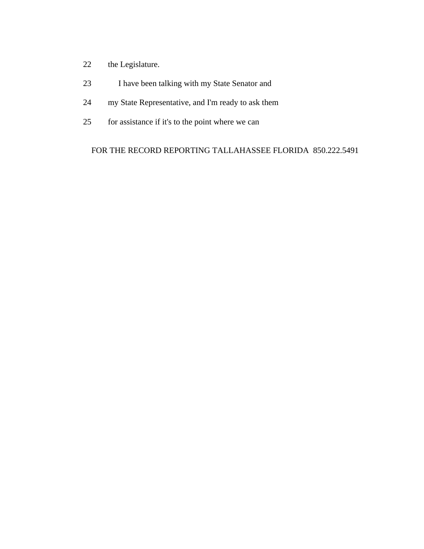- 22 the Legislature.
- 23 I have been talking with my State Senator and
- 24 my State Representative, and I'm ready to ask them
- 25 for assistance if it's to the point where we can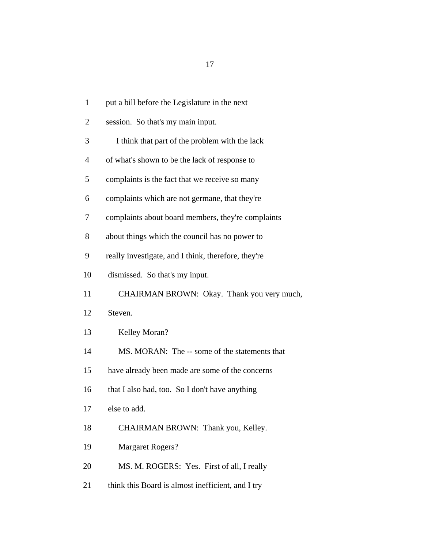| $\mathbf{1}$   | put a bill before the Legislature in the next       |
|----------------|-----------------------------------------------------|
| $\overline{2}$ | session. So that's my main input.                   |
| 3              | I think that part of the problem with the lack      |
| $\overline{4}$ | of what's shown to be the lack of response to       |
| 5              | complaints is the fact that we receive so many      |
| 6              | complaints which are not germane, that they're      |
| 7              | complaints about board members, they're complaints  |
| 8              | about things which the council has no power to      |
| 9              | really investigate, and I think, therefore, they're |
| 10             | dismissed. So that's my input.                      |
| 11             | CHAIRMAN BROWN: Okay. Thank you very much,          |
| 12             | Steven.                                             |
| 13             | Kelley Moran?                                       |
| 14             | MS. MORAN: The -- some of the statements that       |
| 15             | have already been made are some of the concerns     |
| 16             | that I also had, too. So I don't have anything      |
| 17             | else to add.                                        |
| 18             | CHAIRMAN BROWN: Thank you, Kelley.                  |
| 19             | <b>Margaret Rogers?</b>                             |
| 20             | MS. M. ROGERS: Yes. First of all, I really          |
| 21             | think this Board is almost inefficient, and I try   |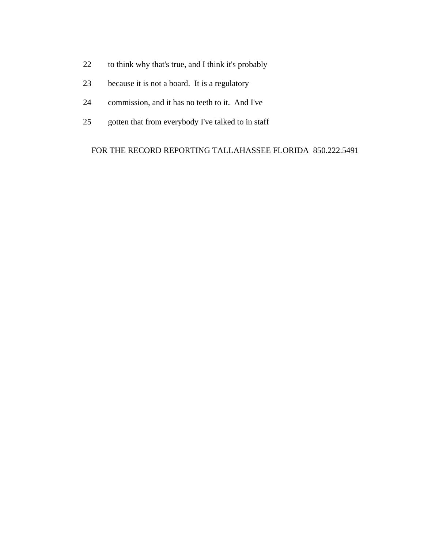- 22 to think why that's true, and I think it's probably
- 23 because it is not a board. It is a regulatory
- 24 commission, and it has no teeth to it. And I've
- 25 gotten that from everybody I've talked to in staff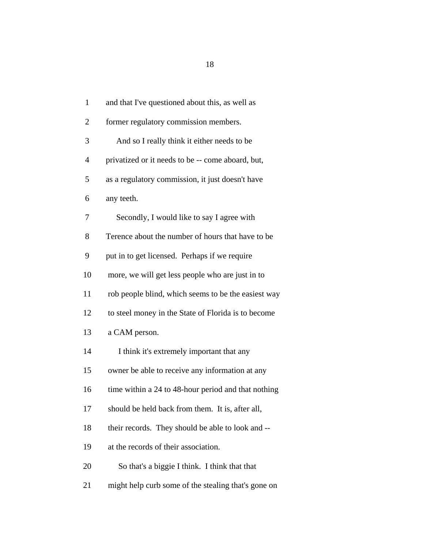1 and that I've questioned about this, as well as 2 former regulatory commission members. 3 And so I really think it either needs to be 4 privatized or it needs to be -- come aboard, but, 5 as a regulatory commission, it just doesn't have 6 any teeth. 7 Secondly, I would like to say I agree with 8 Terence about the number of hours that have to be 9 put in to get licensed. Perhaps if we require 10 more, we will get less people who are just in to 11 rob people blind, which seems to be the easiest way 12 to steel money in the State of Florida is to become 13 a CAM person. 14 I think it's extremely important that any 15 owner be able to receive any information at any 16 time within a 24 to 48-hour period and that nothing 17 should be held back from them. It is, after all, 18 their records. They should be able to look and -- 19 at the records of their association. 20 So that's a biggie I think. I think that that 21 might help curb some of the stealing that's gone on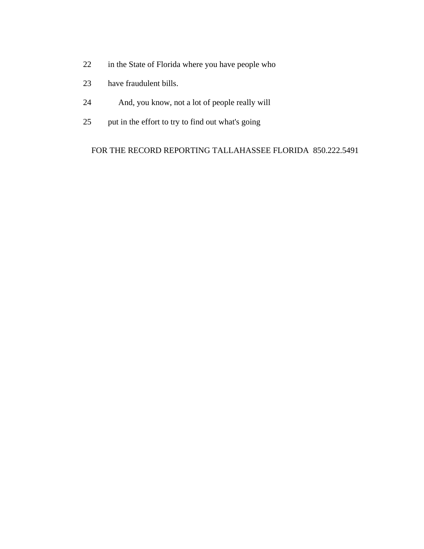- 22 in the State of Florida where you have people who
- 23 have fraudulent bills.
- 24 And, you know, not a lot of people really will
- 25 put in the effort to try to find out what's going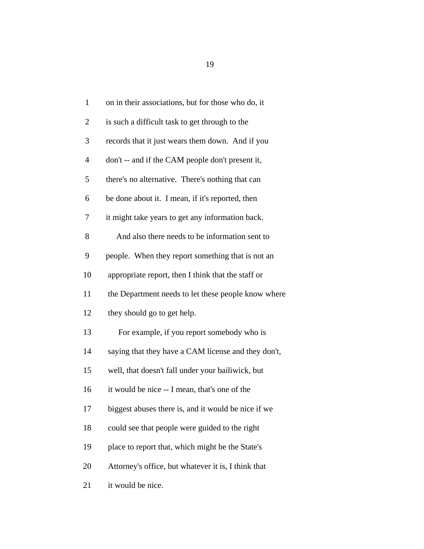| $\mathbf{1}$   | on in their associations, but for those who do, it  |
|----------------|-----------------------------------------------------|
| $\overline{2}$ | is such a difficult task to get through to the      |
| 3              | records that it just wears them down. And if you    |
| $\overline{4}$ | don't -- and if the CAM people don't present it,    |
| 5              | there's no alternative. There's nothing that can    |
| 6              | be done about it. I mean, if it's reported, then    |
| 7              | it might take years to get any information back.    |
| 8              | And also there needs to be information sent to      |
| 9              | people. When they report something that is not an   |
| 10             | appropriate report, then I think that the staff or  |
| 11             | the Department needs to let these people know where |
| 12             | they should go to get help.                         |
| 13             | For example, if you report somebody who is          |
| 14             | saying that they have a CAM license and they don't, |
| 15             | well, that doesn't fall under your bailiwick, but   |
| 16             | it would be nice -- I mean, that's one of the       |
| 17             | biggest abuses there is, and it would be nice if we |
| 18             | could see that people were guided to the right      |
| 19             | place to report that, which might be the State's    |
| 20             | Attorney's office, but whatever it is, I think that |
| 21             | it would be nice.                                   |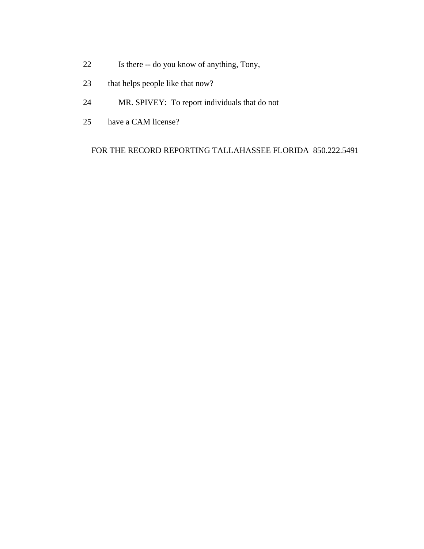- 22 Is there -- do you know of anything, Tony,
- 23 that helps people like that now?
- 24 MR. SPIVEY: To report individuals that do not
- 25 have a CAM license?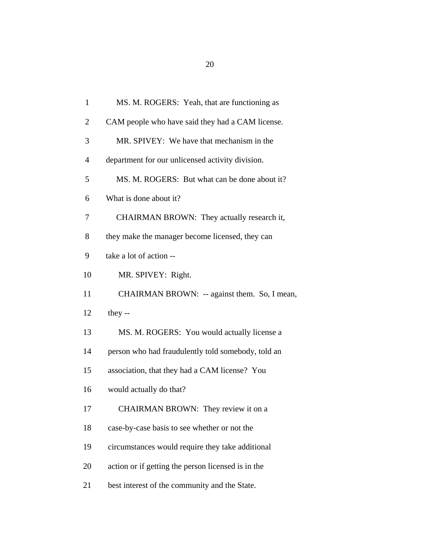| $\mathbf{1}$   | MS. M. ROGERS: Yeah, that are functioning as       |
|----------------|----------------------------------------------------|
| $\overline{c}$ | CAM people who have said they had a CAM license.   |
| 3              | MR. SPIVEY: We have that mechanism in the          |
| $\overline{4}$ | department for our unlicensed activity division.   |
| 5              | MS. M. ROGERS: But what can be done about it?      |
| 6              | What is done about it?                             |
| 7              | CHAIRMAN BROWN: They actually research it,         |
| 8              | they make the manager become licensed, they can    |
| 9              | take a lot of action --                            |
| 10             | MR. SPIVEY: Right.                                 |
| 11             | CHAIRMAN BROWN: -- against them. So, I mean,       |
| 12             | they $-$                                           |
| 13             | MS. M. ROGERS: You would actually license a        |
| 14             | person who had fraudulently told somebody, told an |
| 15             | association, that they had a CAM license? You      |
| 16             | would actually do that?                            |
| 17             | CHAIRMAN BROWN: They review it on a                |
| 18             | case-by-case basis to see whether or not the       |
| 19             | circumstances would require they take additional   |
| 20             | action or if getting the person licensed is in the |
| 21             | best interest of the community and the State.      |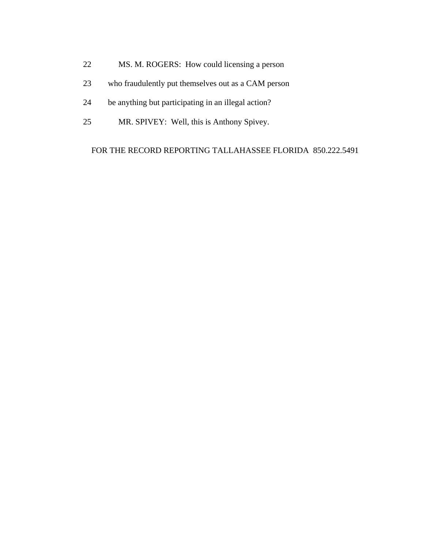- 22 MS. M. ROGERS: How could licensing a person
- 23 who fraudulently put themselves out as a CAM person
- 24 be anything but participating in an illegal action?
- 25 MR. SPIVEY: Well, this is Anthony Spivey.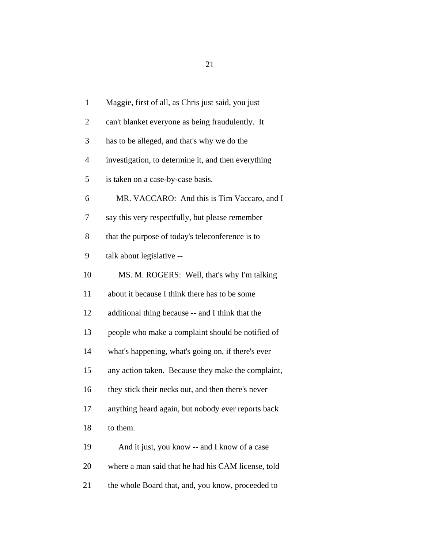| $\mathbf{1}$   | Maggie, first of all, as Chris just said, you just  |
|----------------|-----------------------------------------------------|
| $\overline{c}$ | can't blanket everyone as being fraudulently. It    |
| 3              | has to be alleged, and that's why we do the         |
| 4              | investigation, to determine it, and then everything |
| 5              | is taken on a case-by-case basis.                   |
| 6              | MR. VACCARO: And this is Tim Vaccaro, and I         |
| 7              | say this very respectfully, but please remember     |
| 8              | that the purpose of today's teleconference is to    |
| 9              | talk about legislative --                           |
| 10             | MS. M. ROGERS: Well, that's why I'm talking         |
| 11             | about it because I think there has to be some       |
| 12             | additional thing because -- and I think that the    |
| 13             | people who make a complaint should be notified of   |
| 14             | what's happening, what's going on, if there's ever  |
| 15             | any action taken. Because they make the complaint,  |
| 16             | they stick their necks out, and then there's never  |
| 17             | anything heard again, but nobody ever reports back  |
| 18             | to them.                                            |
| 19             | And it just, you know -- and I know of a case       |
| 20             | where a man said that he had his CAM license, told  |
| 21             | the whole Board that, and, you know, proceeded to   |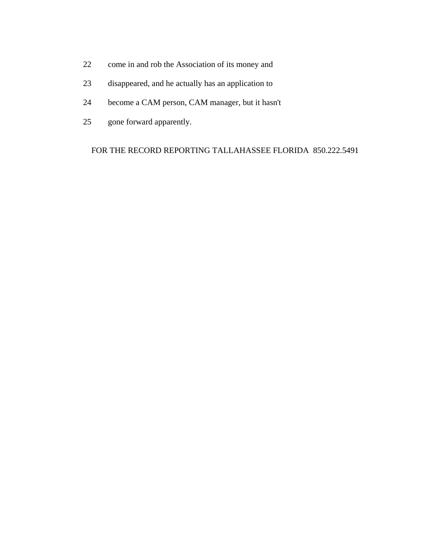- 22 come in and rob the Association of its money and
- 23 disappeared, and he actually has an application to
- 24 become a CAM person, CAM manager, but it hasn't
- 25 gone forward apparently.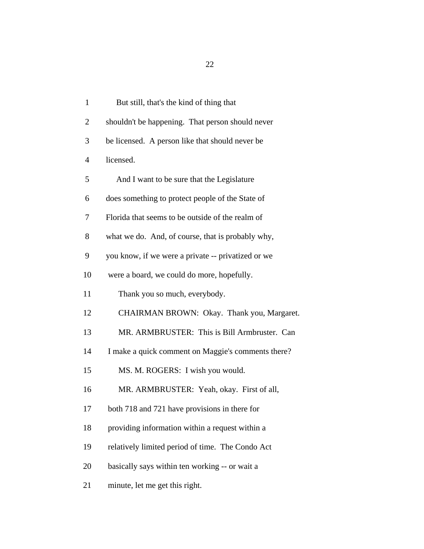1 But still, that's the kind of thing that 2 shouldn't be happening. That person should never 3 be licensed. A person like that should never be 4 licensed. 5 And I want to be sure that the Legislature 6 does something to protect people of the State of 7 Florida that seems to be outside of the realm of 8 what we do. And, of course, that is probably why, 9 you know, if we were a private -- privatized or we 10 were a board, we could do more, hopefully. 11 Thank you so much, everybody. 12 CHAIRMAN BROWN: Okay. Thank you, Margaret. 13 MR. ARMBRUSTER: This is Bill Armbruster. Can 14 I make a quick comment on Maggie's comments there? 15 MS. M. ROGERS: I wish you would. 16 MR. ARMBRUSTER: Yeah, okay. First of all, 17 both 718 and 721 have provisions in there for 18 providing information within a request within a 19 relatively limited period of time. The Condo Act 20 basically says within ten working -- or wait a 21 minute, let me get this right.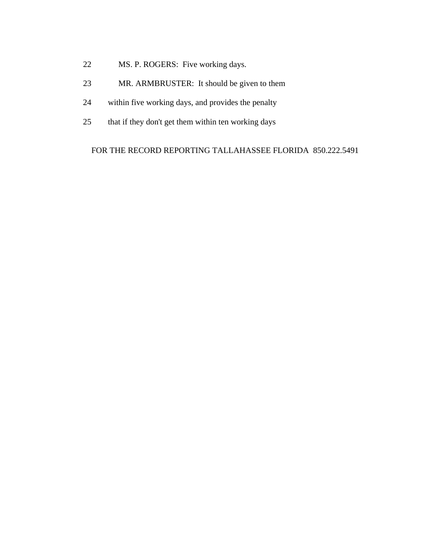- 22 MS. P. ROGERS: Five working days.
- 23 MR. ARMBRUSTER: It should be given to them
- 24 within five working days, and provides the penalty
- 25 that if they don't get them within ten working days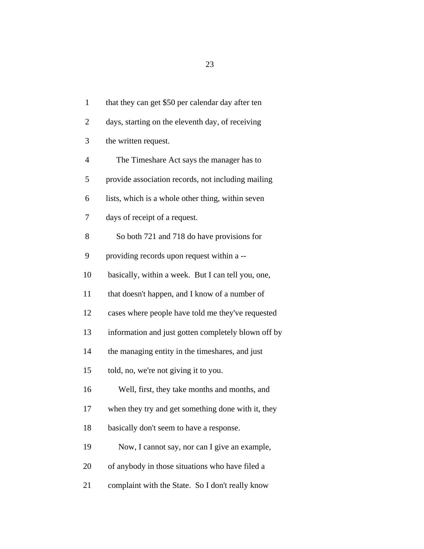1 that they can get \$50 per calendar day after ten 2 days, starting on the eleventh day, of receiving 3 the written request. 4 The Timeshare Act says the manager has to 5 provide association records, not including mailing 6 lists, which is a whole other thing, within seven 7 days of receipt of a request. 8 So both 721 and 718 do have provisions for 9 providing records upon request within a -- 10 basically, within a week. But I can tell you, one, 11 that doesn't happen, and I know of a number of 12 cases where people have told me they've requested 13 information and just gotten completely blown off by 14 the managing entity in the timeshares, and just 15 told, no, we're not giving it to you. 16 Well, first, they take months and months, and 17 when they try and get something done with it, they 18 basically don't seem to have a response. 19 Now, I cannot say, nor can I give an example, 20 of anybody in those situations who have filed a 21 complaint with the State. So I don't really know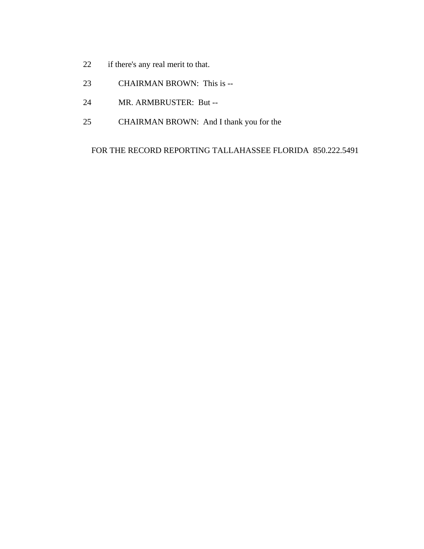- 22 if there's any real merit to that.
- 23 CHAIRMAN BROWN: This is --
- 24 MR. ARMBRUSTER: But --
- 25 CHAIRMAN BROWN: And I thank you for the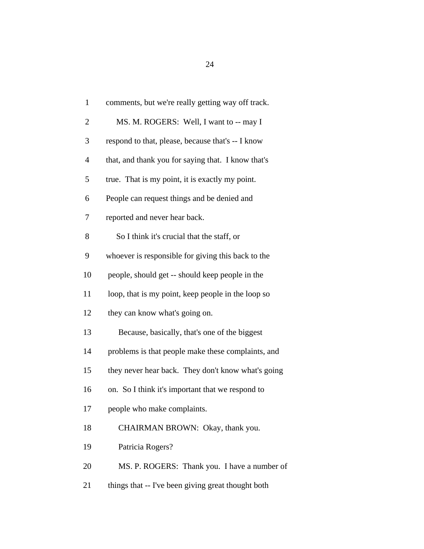| $\mathbf{1}$             | comments, but we're really getting way off track.  |
|--------------------------|----------------------------------------------------|
| $\overline{2}$           | MS. M. ROGERS: Well, I want to -- may I            |
| 3                        | respond to that, please, because that's -- I know  |
| $\overline{\mathcal{L}}$ | that, and thank you for saying that. I know that's |
| 5                        | true. That is my point, it is exactly my point.    |
| 6                        | People can request things and be denied and        |
| 7                        | reported and never hear back.                      |
| 8                        | So I think it's crucial that the staff, or         |
| 9                        | whoever is responsible for giving this back to the |
| 10                       | people, should get -- should keep people in the    |
| 11                       | loop, that is my point, keep people in the loop so |
| 12                       | they can know what's going on.                     |
| 13                       | Because, basically, that's one of the biggest      |
| 14                       | problems is that people make these complaints, and |
| 15                       | they never hear back. They don't know what's going |
| 16                       | on. So I think it's important that we respond to   |
| 17                       | people who make complaints.                        |
| 18                       | CHAIRMAN BROWN: Okay, thank you.                   |
| 19                       | Patricia Rogers?                                   |
| 20                       | MS. P. ROGERS: Thank you. I have a number of       |
| 21                       | things that -- I've been giving great thought both |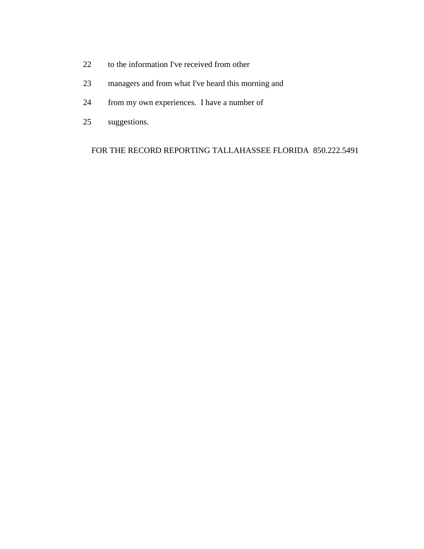- 22 to the information I've received from other
- 23 managers and from what I've heard this morning and
- 24 from my own experiences. I have a number of
- 25 suggestions.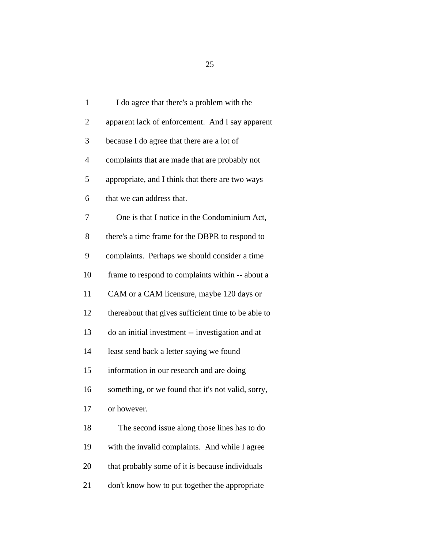| $\mathbf{1}$   | I do agree that there's a problem with the          |
|----------------|-----------------------------------------------------|
| $\overline{2}$ | apparent lack of enforcement. And I say apparent    |
| 3              | because I do agree that there are a lot of          |
| $\overline{4}$ | complaints that are made that are probably not      |
| 5              | appropriate, and I think that there are two ways    |
| 6              | that we can address that.                           |
| 7              | One is that I notice in the Condominium Act,        |
| 8              | there's a time frame for the DBPR to respond to     |
| 9              | complaints. Perhaps we should consider a time       |
| 10             | frame to respond to complaints within -- about a    |
| 11             | CAM or a CAM licensure, maybe 120 days or           |
| 12             | thereabout that gives sufficient time to be able to |
| 13             | do an initial investment -- investigation and at    |
| 14             | least send back a letter saying we found            |
| 15             | information in our research and are doing           |
| 16             | something, or we found that it's not valid, sorry,  |
| 17             | or however.                                         |
| 18             | The second issue along those lines has to do        |
| 19             | with the invalid complaints. And while I agree      |
| 20             | that probably some of it is because individuals     |
| 21             | don't know how to put together the appropriate      |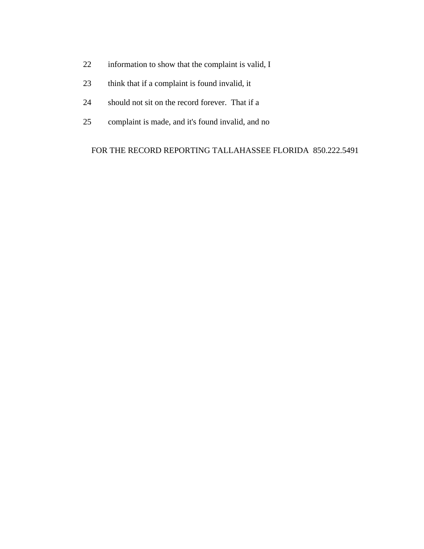- 22 information to show that the complaint is valid, I
- 23 think that if a complaint is found invalid, it
- 24 should not sit on the record forever. That if a
- 25 complaint is made, and it's found invalid, and no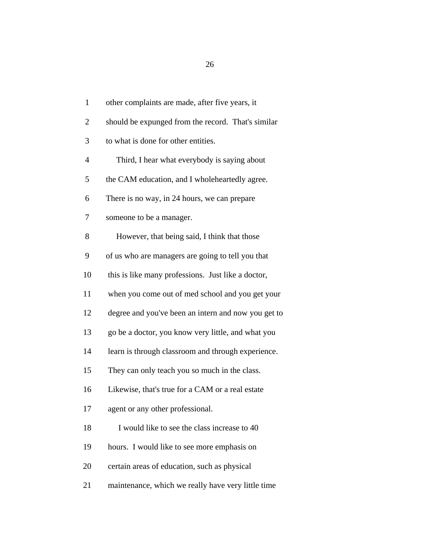| $\mathbf{1}$   | other complaints are made, after five years, it     |
|----------------|-----------------------------------------------------|
| $\overline{2}$ | should be expunged from the record. That's similar  |
| 3              | to what is done for other entities.                 |
| $\overline{4}$ | Third, I hear what everybody is saying about        |
| 5              | the CAM education, and I wholeheartedly agree.      |
| 6              | There is no way, in 24 hours, we can prepare        |
| 7              | someone to be a manager.                            |
| 8              | However, that being said, I think that those        |
| 9              | of us who are managers are going to tell you that   |
| 10             | this is like many professions. Just like a doctor,  |
| 11             | when you come out of med school and you get your    |
| 12             | degree and you've been an intern and now you get to |
| 13             | go be a doctor, you know very little, and what you  |
| 14             | learn is through classroom and through experience.  |
| 15             | They can only teach you so much in the class.       |
| 16             | Likewise, that's true for a CAM or a real estate    |
| 17             | agent or any other professional.                    |
| 18             | I would like to see the class increase to 40        |
| 19             | hours. I would like to see more emphasis on         |
| 20             | certain areas of education, such as physical        |
| 21             | maintenance, which we really have very little time  |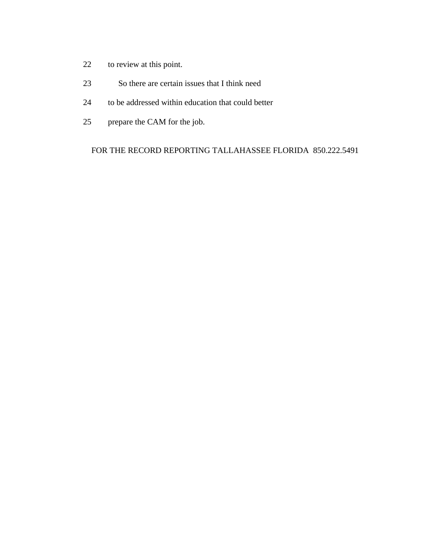- 22 to review at this point.
- 23 So there are certain issues that I think need
- 24 to be addressed within education that could better
- 25 prepare the CAM for the job.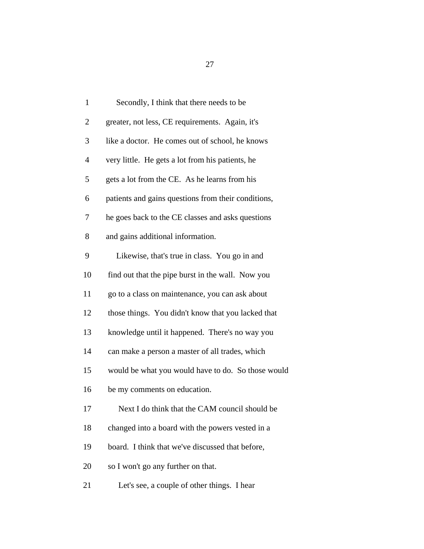| $\mathbf{1}$   | Secondly, I think that there needs to be            |
|----------------|-----------------------------------------------------|
| $\overline{2}$ | greater, not less, CE requirements. Again, it's     |
| 3              | like a doctor. He comes out of school, he knows     |
| $\overline{4}$ | very little. He gets a lot from his patients, he    |
| 5              | gets a lot from the CE. As he learns from his       |
| 6              | patients and gains questions from their conditions, |
| 7              | he goes back to the CE classes and asks questions   |
| 8              | and gains additional information.                   |
| 9              | Likewise, that's true in class. You go in and       |
| 10             | find out that the pipe burst in the wall. Now you   |
| 11             | go to a class on maintenance, you can ask about     |
| 12             | those things. You didn't know that you lacked that  |
| 13             | knowledge until it happened. There's no way you     |
| 14             | can make a person a master of all trades, which     |
| 15             | would be what you would have to do. So those would  |
| 16             | be my comments on education.                        |
| 17             | Next I do think that the CAM council should be      |
| 18             | changed into a board with the powers vested in a    |
| 19             | board. I think that we've discussed that before,    |
| 20             | so I won't go any further on that.                  |
| 21             | Let's see, a couple of other things. I hear         |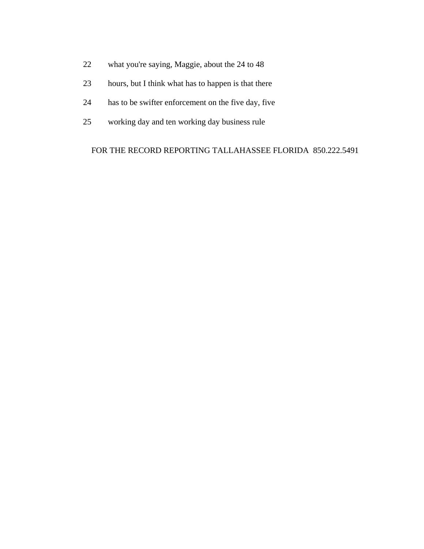- 22 what you're saying, Maggie, about the 24 to 48
- 23 hours, but I think what has to happen is that there
- 24 has to be swifter enforcement on the five day, five
- 25 working day and ten working day business rule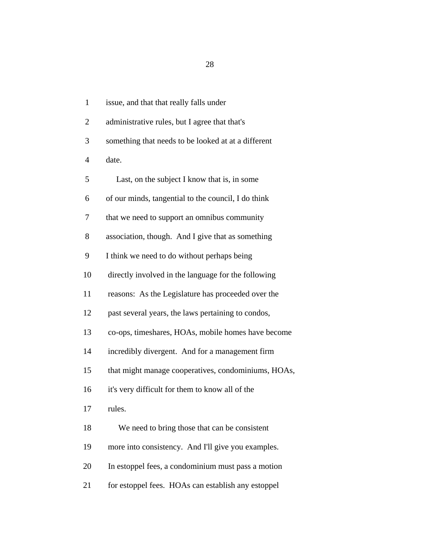1 issue, and that that really falls under 2 administrative rules, but I agree that that's 3 something that needs to be looked at at a different 4 date. 5 Last, on the subject I know that is, in some 6 of our minds, tangential to the council, I do think 7 that we need to support an omnibus community 8 association, though. And I give that as something 9 I think we need to do without perhaps being 10 directly involved in the language for the following 11 reasons: As the Legislature has proceeded over the 12 past several years, the laws pertaining to condos, 13 co-ops, timeshares, HOAs, mobile homes have become 14 incredibly divergent. And for a management firm 15 that might manage cooperatives, condominiums, HOAs, 16 it's very difficult for them to know all of the 17 rules. 18 We need to bring those that can be consistent 19 more into consistency. And I'll give you examples. 20 In estoppel fees, a condominium must pass a motion 21 for estoppel fees. HOAs can establish any estoppel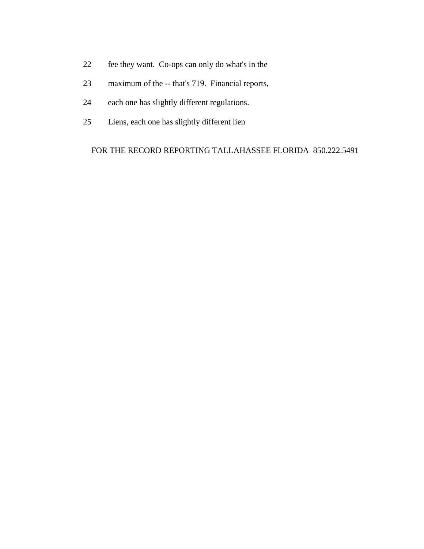- 22 fee they want. Co-ops can only do what's in the
- 23 maximum of the -- that's 719. Financial reports,
- 24 each one has slightly different regulations.
- 25 Liens, each one has slightly different lien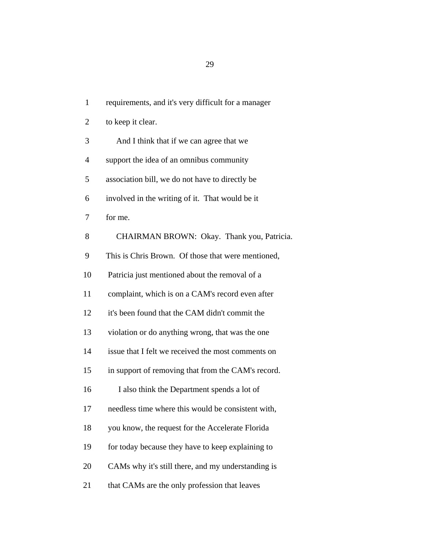1 requirements, and it's very difficult for a manager 2 to keep it clear. 3 And I think that if we can agree that we 4 support the idea of an omnibus community 5 association bill, we do not have to directly be 6 involved in the writing of it. That would be it 7 for me. 8 CHAIRMAN BROWN: Okay. Thank you, Patricia. 9 This is Chris Brown. Of those that were mentioned, 10 Patricia just mentioned about the removal of a 11 complaint, which is on a CAM's record even after 12 it's been found that the CAM didn't commit the 13 violation or do anything wrong, that was the one 14 issue that I felt we received the most comments on 15 in support of removing that from the CAM's record. 16 I also think the Department spends a lot of 17 needless time where this would be consistent with, 18 you know, the request for the Accelerate Florida 19 for today because they have to keep explaining to 20 CAMs why it's still there, and my understanding is 21 that CAMs are the only profession that leaves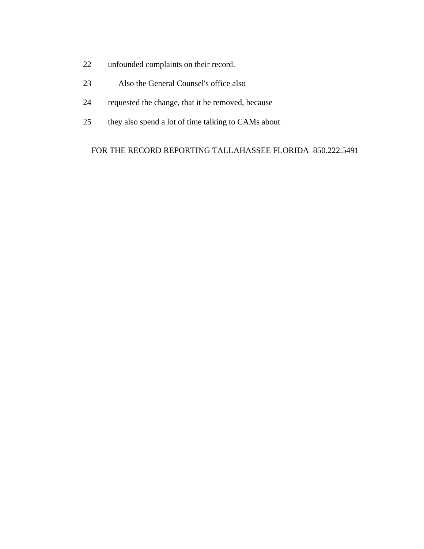- 22 unfounded complaints on their record.
- 23 Also the General Counsel's office also
- 24 requested the change, that it be removed, because
- 25 they also spend a lot of time talking to CAMs about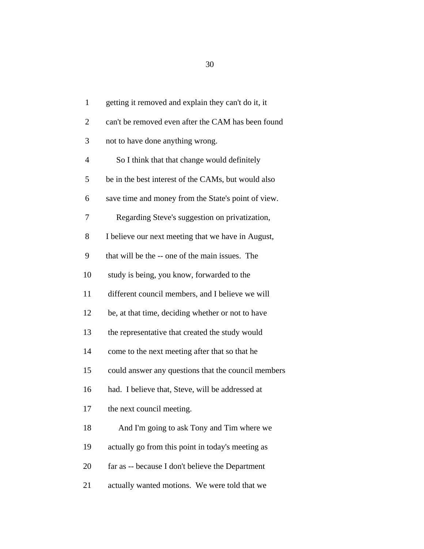1 getting it removed and explain they can't do it, it 2 can't be removed even after the CAM has been found 3 not to have done anything wrong. 4 So I think that that change would definitely 5 be in the best interest of the CAMs, but would also 6 save time and money from the State's point of view. 7 Regarding Steve's suggestion on privatization, 8 I believe our next meeting that we have in August, 9 that will be the -- one of the main issues. The 10 study is being, you know, forwarded to the 11 different council members, and I believe we will 12 be, at that time, deciding whether or not to have 13 the representative that created the study would 14 come to the next meeting after that so that he 15 could answer any questions that the council members 16 had. I believe that, Steve, will be addressed at 17 the next council meeting. 18 And I'm going to ask Tony and Tim where we 19 actually go from this point in today's meeting as 20 far as -- because I don't believe the Department 21 actually wanted motions. We were told that we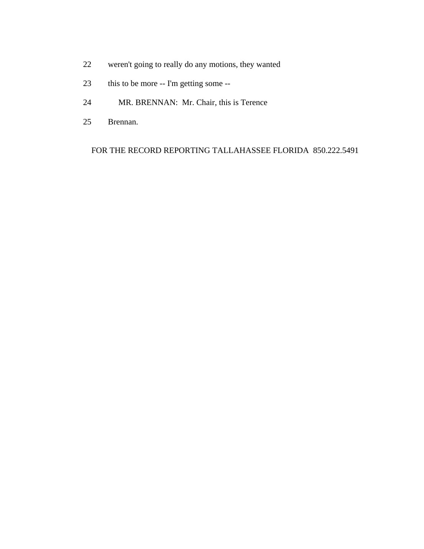- 22 weren't going to really do any motions, they wanted
- 23 this to be more -- I'm getting some --
- 24 MR. BRENNAN: Mr. Chair, this is Terence
- 25 Brennan.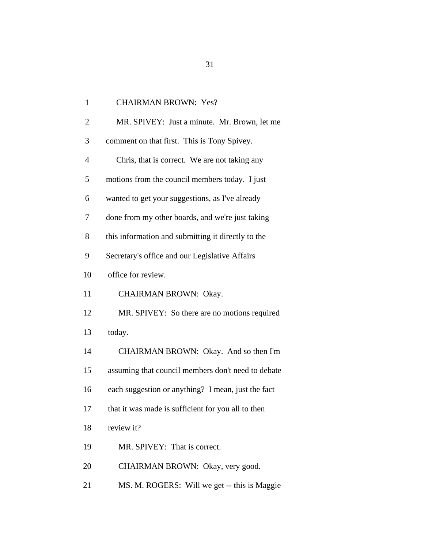| $\mathbf{1}$   | <b>CHAIRMAN BROWN: Yes?</b>                        |
|----------------|----------------------------------------------------|
| $\overline{2}$ | MR. SPIVEY: Just a minute. Mr. Brown, let me       |
| 3              | comment on that first. This is Tony Spivey.        |
| 4              | Chris, that is correct. We are not taking any      |
| 5              | motions from the council members today. I just     |
| 6              | wanted to get your suggestions, as I've already    |
| 7              | done from my other boards, and we're just taking   |
| 8              | this information and submitting it directly to the |
| 9              | Secretary's office and our Legislative Affairs     |
| 10             | office for review.                                 |
| 11             | CHAIRMAN BROWN: Okay.                              |
| 12             | MR. SPIVEY: So there are no motions required       |
| 13             | today.                                             |
| 14             | CHAIRMAN BROWN: Okay. And so then I'm              |
| 15             | assuming that council members don't need to debate |
| 16             | each suggestion or anything? I mean, just the fact |
| 17             | that it was made is sufficient for you all to then |
| 18             | review it?                                         |
| 19             | MR. SPIVEY: That is correct.                       |
| 20             | CHAIRMAN BROWN: Okay, very good.                   |
| 21             | MS. M. ROGERS: Will we get -- this is Maggie       |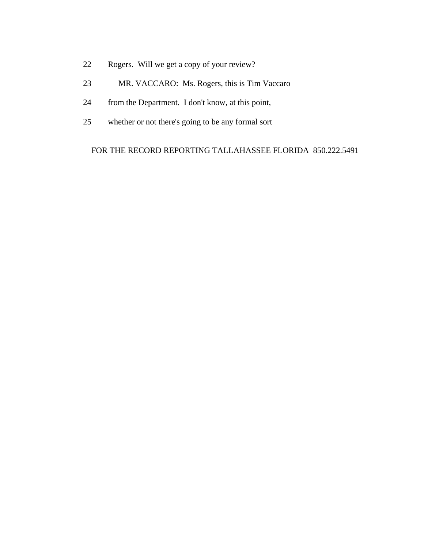- 22 Rogers. Will we get a copy of your review?
- 23 MR. VACCARO: Ms. Rogers, this is Tim Vaccaro
- 24 from the Department. I don't know, at this point,
- 25 whether or not there's going to be any formal sort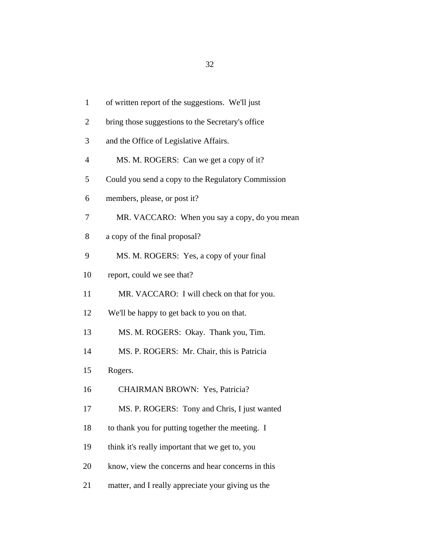| $\mathbf{1}$   | of written report of the suggestions. We'll just   |
|----------------|----------------------------------------------------|
| $\overline{2}$ | bring those suggestions to the Secretary's office  |
| 3              | and the Office of Legislative Affairs.             |
| $\overline{4}$ | MS. M. ROGERS: Can we get a copy of it?            |
| 5              | Could you send a copy to the Regulatory Commission |
| 6              | members, please, or post it?                       |
| 7              | MR. VACCARO: When you say a copy, do you mean      |
| 8              | a copy of the final proposal?                      |
| 9              | MS. M. ROGERS: Yes, a copy of your final           |
| 10             | report, could we see that?                         |
| 11             | MR. VACCARO: I will check on that for you.         |
| 12             | We'll be happy to get back to you on that.         |
| 13             | MS. M. ROGERS: Okay. Thank you, Tim.               |
| 14             | MS. P. ROGERS: Mr. Chair, this is Patricia         |
| 15             | Rogers.                                            |
| 16             | <b>CHAIRMAN BROWN: Yes, Patricia?</b>              |
| 17             | MS. P. ROGERS: Tony and Chris, I just wanted       |
| 18             | to thank you for putting together the meeting. I   |
| 19             | think it's really important that we get to, you    |
| 20             | know, view the concerns and hear concerns in this  |
| 21             | matter, and I really appreciate your giving us the |
|                |                                                    |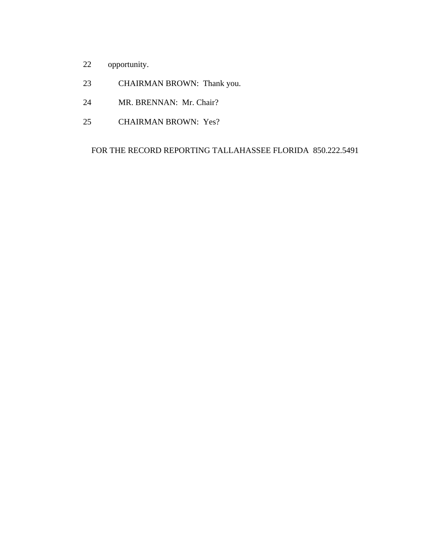- 22 opportunity.
- 23 CHAIRMAN BROWN: Thank you.
- 24 MR. BRENNAN: Mr. Chair?
- 25 CHAIRMAN BROWN: Yes?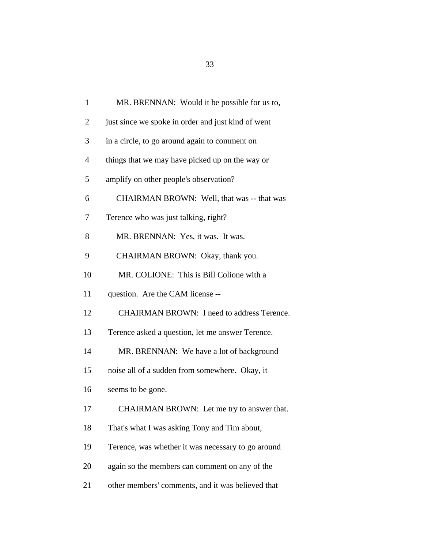| $\mathbf{1}$   | MR. BRENNAN: Would it be possible for us to,       |
|----------------|----------------------------------------------------|
| $\overline{2}$ | just since we spoke in order and just kind of went |
| 3              | in a circle, to go around again to comment on      |
| $\overline{4}$ | things that we may have picked up on the way or    |
| 5              | amplify on other people's observation?             |
| 6              | CHAIRMAN BROWN: Well, that was -- that was         |
| 7              | Terence who was just talking, right?               |
| 8              | MR. BRENNAN: Yes, it was. It was.                  |
| 9              | CHAIRMAN BROWN: Okay, thank you.                   |
| 10             | MR. COLIONE: This is Bill Colione with a           |
| 11             | question. Are the CAM license --                   |
| 12             | CHAIRMAN BROWN: I need to address Terence.         |
| 13             | Terence asked a question, let me answer Terence.   |
| 14             | MR. BRENNAN: We have a lot of background           |
| 15             | noise all of a sudden from somewhere. Okay, it     |
| 16             | seems to be gone.                                  |
| 17             | CHAIRMAN BROWN: Let me try to answer that.         |
| 18             | That's what I was asking Tony and Tim about,       |
| 19             | Terence, was whether it was necessary to go around |
| 20             | again so the members can comment on any of the     |
| 21             | other members' comments, and it was believed that  |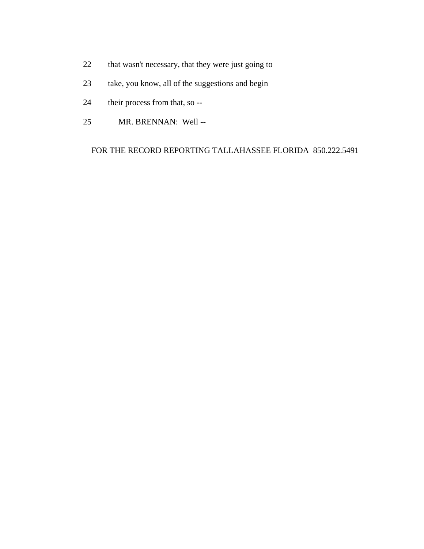- 22 that wasn't necessary, that they were just going to
- 23 take, you know, all of the suggestions and begin
- 24 their process from that, so --
- 25 MR. BRENNAN: Well --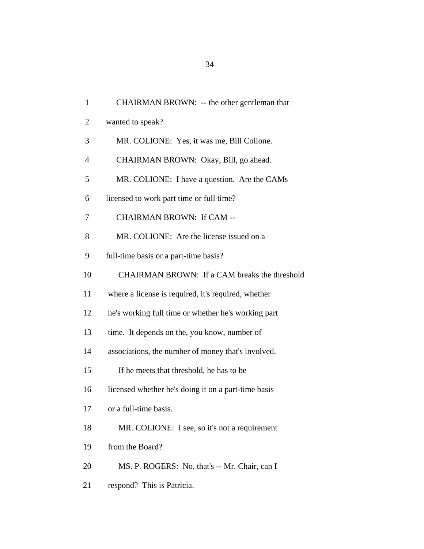| $\mathbf{1}$   | CHAIRMAN BROWN: -- the other gentleman that         |
|----------------|-----------------------------------------------------|
| 2              | wanted to speak?                                    |
| 3              | MR. COLIONE: Yes, it was me, Bill Colione.          |
| $\overline{4}$ | CHAIRMAN BROWN: Okay, Bill, go ahead.               |
| 5              | MR. COLIONE: I have a question. Are the CAMs        |
| 6              | licensed to work part time or full time?            |
| 7              | <b>CHAIRMAN BROWN: If CAM --</b>                    |
| 8              | MR. COLIONE: Are the license issued on a            |
| 9              | full-time basis or a part-time basis?               |
| 10             | CHAIRMAN BROWN: If a CAM breaks the threshold       |
| 11             | where a license is required, it's required, whether |
| 12             | he's working full time or whether he's working part |
| 13             | time. It depends on the, you know, number of        |
| 14             | associations, the number of money that's involved.  |
| 15             | If he meets that threshold, he has to be            |
| 16             | licensed whether he's doing it on a part-time basis |
| 17             | or a full-time basis.                               |
| 18             | MR. COLIONE: I see, so it's not a requirement       |
| 19             | from the Board?                                     |
| 20             | MS. P. ROGERS: No, that's -- Mr. Chair, can I       |
| 21             | respond? This is Patricia.                          |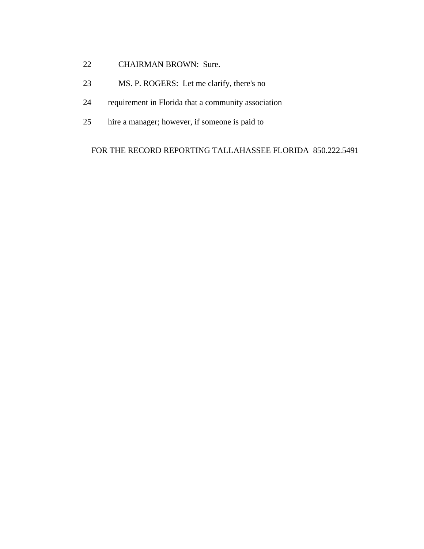- 22 CHAIRMAN BROWN: Sure.
- 23 MS. P. ROGERS: Let me clarify, there's no
- 24 requirement in Florida that a community association
- 25 hire a manager; however, if someone is paid to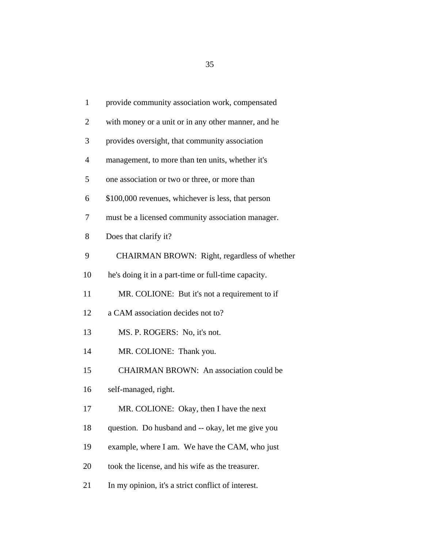| $\mathbf{1}$   | provide community association work, compensated     |
|----------------|-----------------------------------------------------|
| $\overline{2}$ | with money or a unit or in any other manner, and he |
| 3              | provides oversight, that community association      |
| $\overline{4}$ | management, to more than ten units, whether it's    |
| 5              | one association or two or three, or more than       |
| 6              | \$100,000 revenues, whichever is less, that person  |
| 7              | must be a licensed community association manager.   |
| 8              | Does that clarify it?                               |
| 9              | CHAIRMAN BROWN: Right, regardless of whether        |
| 10             | he's doing it in a part-time or full-time capacity. |
| 11             | MR. COLIONE: But it's not a requirement to if       |
| 12             | a CAM association decides not to?                   |
| 13             | MS. P. ROGERS: No, it's not.                        |
| 14             | MR. COLIONE: Thank you.                             |
| 15             | CHAIRMAN BROWN: An association could be             |
| 16             | self-managed, right.                                |
| 17             | MR. COLIONE: Okay, then I have the next             |
| 18             | question. Do husband and -- okay, let me give you   |
| 19             | example, where I am. We have the CAM, who just      |
| 20             | took the license, and his wife as the treasurer.    |
| 21             | In my opinion, it's a strict conflict of interest.  |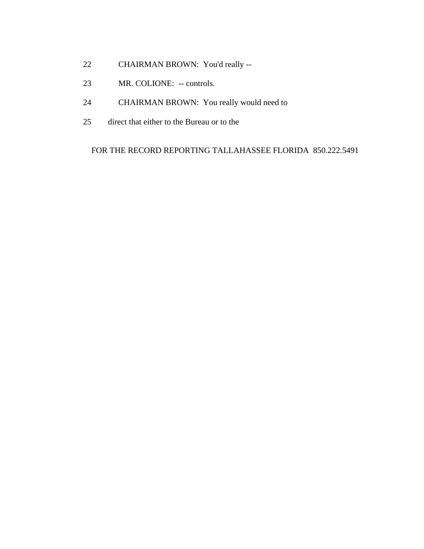- 22 CHAIRMAN BROWN: You'd really --
- 23 MR. COLIONE: -- controls.
- 24 CHAIRMAN BROWN: You really would need to
- 25 direct that either to the Bureau or to the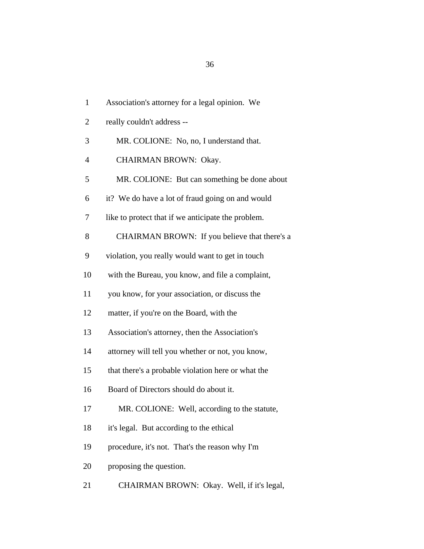| $\mathbf{1}$   | Association's attorney for a legal opinion. We     |
|----------------|----------------------------------------------------|
| $\overline{2}$ | really couldn't address --                         |
| 3              | MR. COLIONE: No, no, I understand that.            |
| 4              | CHAIRMAN BROWN: Okay.                              |
| 5              | MR. COLIONE: But can something be done about       |
| 6              | it? We do have a lot of fraud going on and would   |
| 7              | like to protect that if we anticipate the problem. |
| 8              | CHAIRMAN BROWN: If you believe that there's a      |
| 9              | violation, you really would want to get in touch   |
| 10             | with the Bureau, you know, and file a complaint,   |
| 11             | you know, for your association, or discuss the     |
| 12             | matter, if you're on the Board, with the           |
| 13             | Association's attorney, then the Association's     |
| 14             | attorney will tell you whether or not, you know,   |
| 15             | that there's a probable violation here or what the |
| 16             | Board of Directors should do about it.             |
| 17             | MR. COLIONE: Well, according to the statute,       |
| 18             | it's legal. But according to the ethical           |
| 19             | procedure, it's not. That's the reason why I'm     |
| 20             | proposing the question.                            |
| 21             | CHAIRMAN BROWN: Okay. Well, if it's legal,         |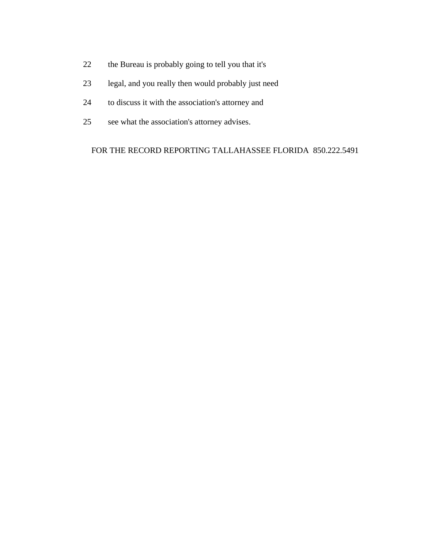- 22 the Bureau is probably going to tell you that it's
- 23 legal, and you really then would probably just need
- 24 to discuss it with the association's attorney and
- 25 see what the association's attorney advises.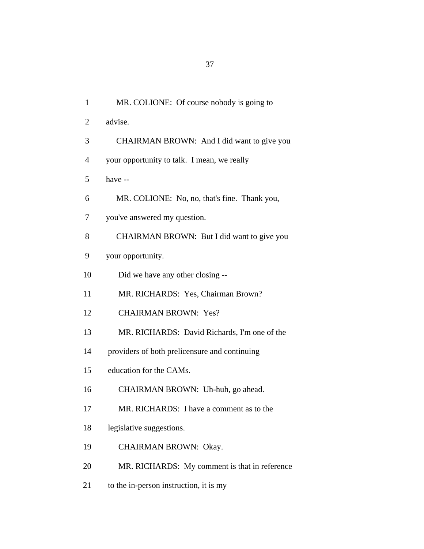| $\mathbf{1}$   | MR. COLIONE: Of course nobody is going to     |
|----------------|-----------------------------------------------|
| $\overline{2}$ | advise.                                       |
| 3              | CHAIRMAN BROWN: And I did want to give you    |
| $\overline{4}$ | your opportunity to talk. I mean, we really   |
| 5              | have --                                       |
| 6              | MR. COLIONE: No, no, that's fine. Thank you,  |
| 7              | you've answered my question.                  |
| 8              | CHAIRMAN BROWN: But I did want to give you    |
| 9              | your opportunity.                             |
| 10             | Did we have any other closing --              |
| 11             | MR. RICHARDS: Yes, Chairman Brown?            |
| 12             | <b>CHAIRMAN BROWN: Yes?</b>                   |
| 13             | MR. RICHARDS: David Richards, I'm one of the  |
| 14             | providers of both prelicensure and continuing |
| 15             | education for the CAMs.                       |
| 16             | CHAIRMAN BROWN: Uh-huh, go ahead.             |
| 17             | MR. RICHARDS: I have a comment as to the      |
| 18             | legislative suggestions.                      |
| 19             | CHAIRMAN BROWN: Okay.                         |
| 20             | MR. RICHARDS: My comment is that in reference |
| 21             | to the in-person instruction, it is my        |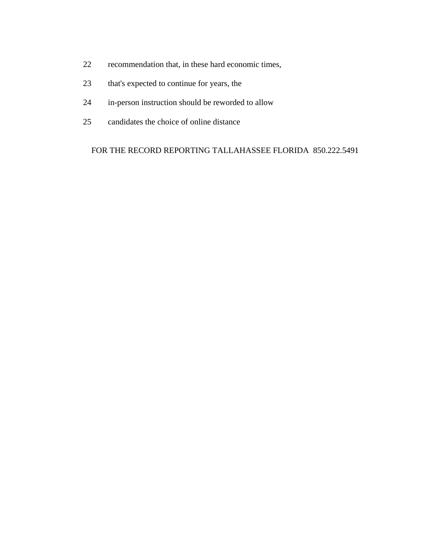- 22 recommendation that, in these hard economic times,
- 23 that's expected to continue for years, the
- 24 in-person instruction should be reworded to allow
- 25 candidates the choice of online distance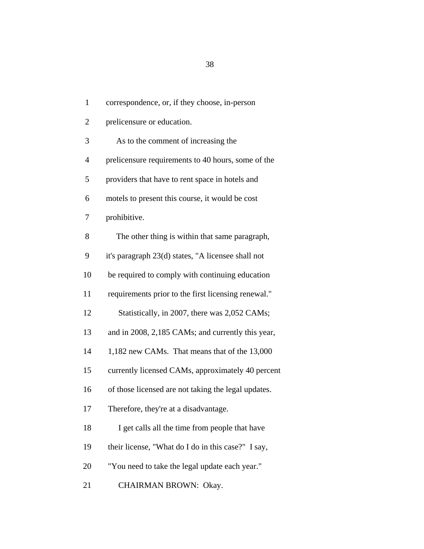1 correspondence, or, if they choose, in-person 2 prelicensure or education. 3 As to the comment of increasing the 4 prelicensure requirements to 40 hours, some of the 5 providers that have to rent space in hotels and 6 motels to present this course, it would be cost 7 prohibitive. 8 The other thing is within that same paragraph, 9 it's paragraph 23(d) states, "A licensee shall not 10 be required to comply with continuing education 11 requirements prior to the first licensing renewal." 12 Statistically, in 2007, there was 2,052 CAMs; 13 and in 2008, 2,185 CAMs; and currently this year, 14 1,182 new CAMs. That means that of the 13,000 15 currently licensed CAMs, approximately 40 percent 16 of those licensed are not taking the legal updates. 17 Therefore, they're at a disadvantage. 18 I get calls all the time from people that have 19 their license, "What do I do in this case?" I say, 20 "You need to take the legal update each year." 21 CHAIRMAN BROWN: Okay.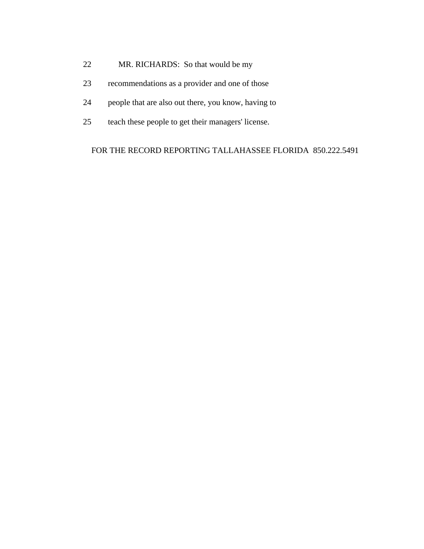- 22 MR. RICHARDS: So that would be my
- 23 recommendations as a provider and one of those
- 24 people that are also out there, you know, having to
- 25 teach these people to get their managers' license.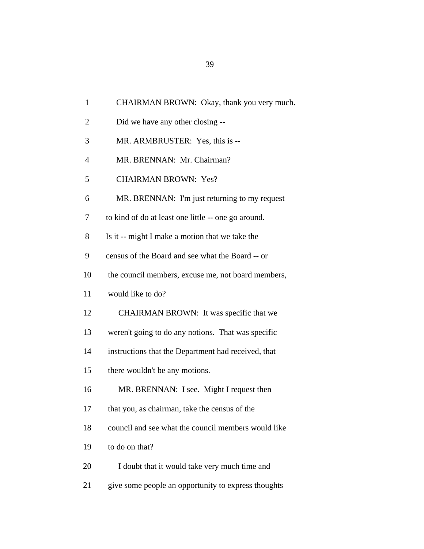| $\mathbf{1}$   | CHAIRMAN BROWN: Okay, thank you very much.          |
|----------------|-----------------------------------------------------|
| $\overline{2}$ | Did we have any other closing --                    |
| 3              | MR. ARMBRUSTER: Yes, this is --                     |
| $\overline{4}$ | MR. BRENNAN: Mr. Chairman?                          |
| 5              | <b>CHAIRMAN BROWN: Yes?</b>                         |
| 6              | MR. BRENNAN: I'm just returning to my request       |
| 7              | to kind of do at least one little -- one go around. |
| 8              | Is it -- might I make a motion that we take the     |
| 9              | census of the Board and see what the Board -- or    |
| 10             | the council members, excuse me, not board members,  |
| 11             | would like to do?                                   |
| 12             | CHAIRMAN BROWN: It was specific that we             |
| 13             | weren't going to do any notions. That was specific  |
| 14             | instructions that the Department had received, that |
| 15             | there wouldn't be any motions.                      |
| 16             | MR. BRENNAN: I see. Might I request then            |
| 17             | that you, as chairman, take the census of the       |
| 18             | council and see what the council members would like |
| 19             | to do on that?                                      |
| 20             | I doubt that it would take very much time and       |
| 21             | give some people an opportunity to express thoughts |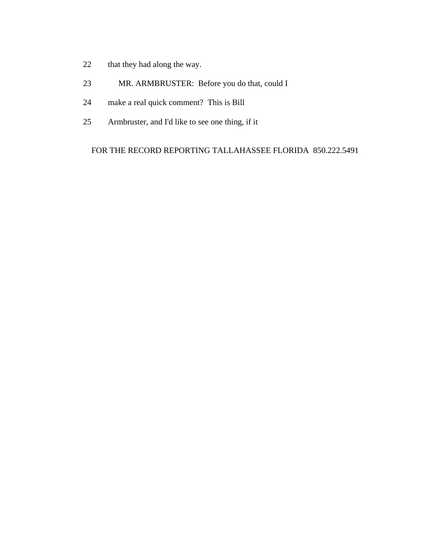- 22 that they had along the way.
- 23 MR. ARMBRUSTER: Before you do that, could I
- 24 make a real quick comment? This is Bill
- 25 Armbruster, and I'd like to see one thing, if it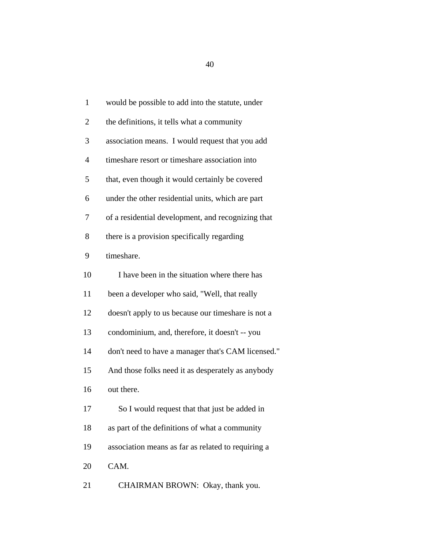| $\mathbf{1}$ | would be possible to add into the statute, under   |  |
|--------------|----------------------------------------------------|--|
| 2            | the definitions, it tells what a community         |  |
| 3            | association means. I would request that you add    |  |
| 4            | timeshare resort or timeshare association into     |  |
| 5            | that, even though it would certainly be covered    |  |
| 6            | under the other residential units, which are part  |  |
| 7            | of a residential development, and recognizing that |  |
| 8            | there is a provision specifically regarding        |  |
| 9            | timeshare.                                         |  |
| 10           | I have been in the situation where there has       |  |
| 11           | been a developer who said, "Well, that really      |  |
| 12           | doesn't apply to us because our timeshare is not a |  |
| 13           | condominium, and, therefore, it doesn't -- you     |  |
| 14           | don't need to have a manager that's CAM licensed." |  |
| 15           | And those folks need it as desperately as anybody  |  |
| 16           | out there.                                         |  |
| 17           | So I would request that that just be added in      |  |
| 18           | as part of the definitions of what a community     |  |
| 19           | association means as far as related to requiring a |  |
| 20           | CAM.                                               |  |
| 21           | CHAIRMAN BROWN: Okay, thank you.                   |  |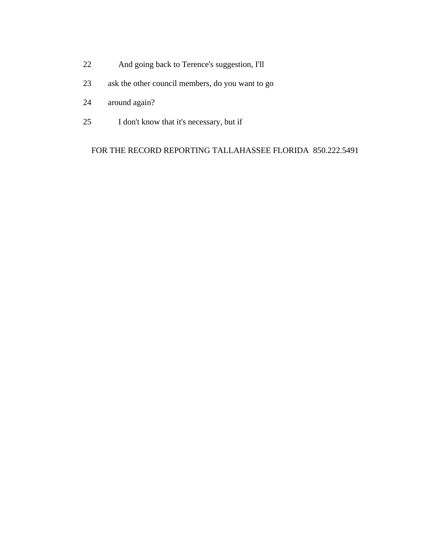- 22 And going back to Terence's suggestion, I'll
- 23 ask the other council members, do you want to go
- 24 around again?
- 25 I don't know that it's necessary, but if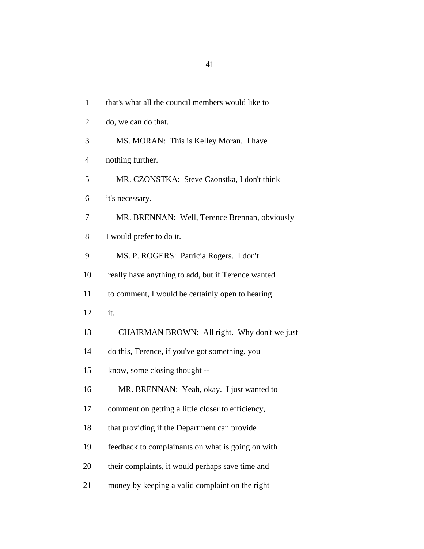| $\mathbf{1}$   | that's what all the council members would like to  |
|----------------|----------------------------------------------------|
| $\overline{2}$ | do, we can do that.                                |
| 3              | MS. MORAN: This is Kelley Moran. I have            |
| $\overline{4}$ | nothing further.                                   |
| 5              | MR. CZONSTKA: Steve Czonstka, I don't think        |
| 6              | it's necessary.                                    |
| 7              | MR. BRENNAN: Well, Terence Brennan, obviously      |
| 8              | I would prefer to do it.                           |
| 9              | MS. P. ROGERS: Patricia Rogers. I don't            |
| 10             | really have anything to add, but if Terence wanted |
| 11             | to comment, I would be certainly open to hearing   |
| 12             | it.                                                |
| 13             | CHAIRMAN BROWN: All right. Why don't we just       |
| 14             | do this, Terence, if you've got something, you     |
| 15             | know, some closing thought --                      |
| 16             | MR. BRENNAN: Yeah, okay. I just wanted to          |
| 17             | comment on getting a little closer to efficiency,  |
| 18             | that providing if the Department can provide       |
| 19             | feedback to complainants on what is going on with  |
| 20             | their complaints, it would perhaps save time and   |
| 21             | money by keeping a valid complaint on the right    |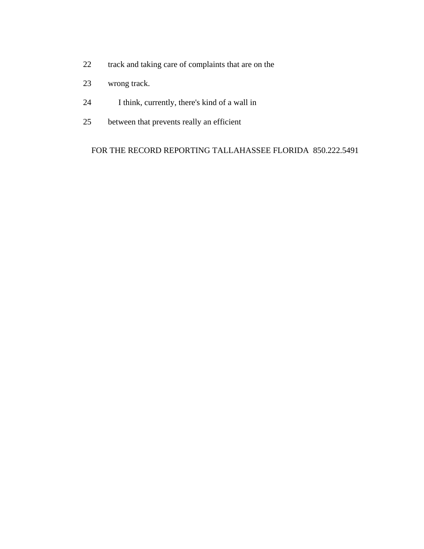- 22 track and taking care of complaints that are on the
- 23 wrong track.
- 24 I think, currently, there's kind of a wall in
- 25 between that prevents really an efficient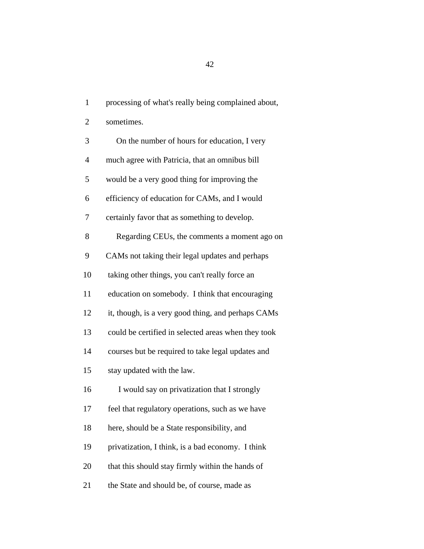1 processing of what's really being complained about,

2 sometimes.

| 3              | On the number of hours for education, I very        |
|----------------|-----------------------------------------------------|
| $\overline{4}$ | much agree with Patricia, that an omnibus bill      |
| 5              | would be a very good thing for improving the        |
| 6              | efficiency of education for CAMs, and I would       |
| 7              | certainly favor that as something to develop.       |
| 8              | Regarding CEUs, the comments a moment ago on        |
| 9              | CAMs not taking their legal updates and perhaps     |
| 10             | taking other things, you can't really force an      |
| 11             | education on somebody. I think that encouraging     |
| 12             | it, though, is a very good thing, and perhaps CAMs  |
| 13             | could be certified in selected areas when they took |
| 14             | courses but be required to take legal updates and   |
| 15             | stay updated with the law.                          |
| 16             | I would say on privatization that I strongly        |
| 17             | feel that regulatory operations, such as we have    |
| 18             | here, should be a State responsibility, and         |
| 19             | privatization, I think, is a bad economy. I think   |
| 20             | that this should stay firmly within the hands of    |
| 21             | the State and should be, of course, made as         |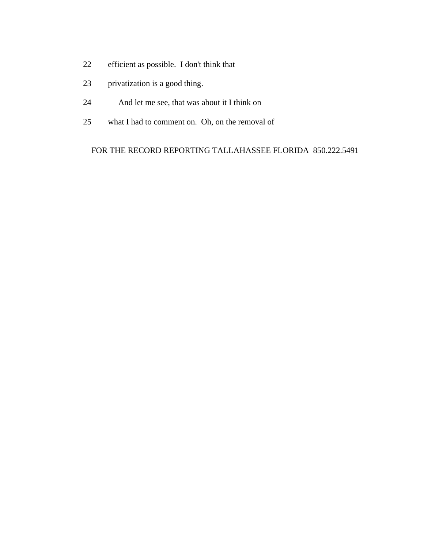- 22 efficient as possible. I don't think that
- 23 privatization is a good thing.
- 24 And let me see, that was about it I think on
- 25 what I had to comment on. Oh, on the removal of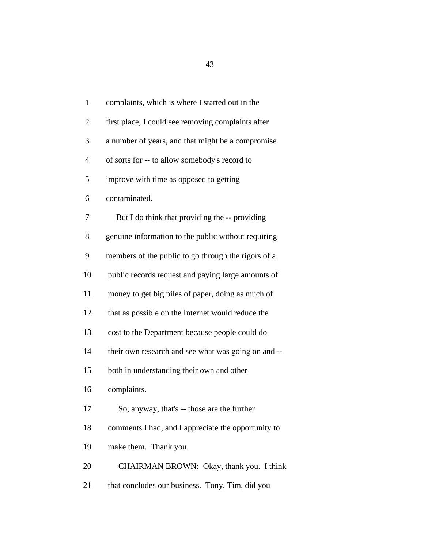| $\mathbf{1}$   | complaints, which is where I started out in the     |
|----------------|-----------------------------------------------------|
| $\overline{2}$ | first place, I could see removing complaints after  |
| 3              | a number of years, and that might be a compromise   |
| $\overline{4}$ | of sorts for -- to allow somebody's record to       |
| 5              | improve with time as opposed to getting             |
| 6              | contaminated.                                       |
| 7              | But I do think that providing the -- providing      |
| 8              | genuine information to the public without requiring |
| 9              | members of the public to go through the rigors of a |
| 10             | public records request and paying large amounts of  |
| 11             | money to get big piles of paper, doing as much of   |
| 12             | that as possible on the Internet would reduce the   |
| 13             | cost to the Department because people could do      |
| 14             | their own research and see what was going on and -- |
| 15             | both in understanding their own and other           |
| 16             | complaints.                                         |
| 17             | So, anyway, that's -- those are the further         |
| 18             | comments I had, and I appreciate the opportunity to |
| 19             | make them. Thank you.                               |
| 20             | CHAIRMAN BROWN: Okay, thank you. I think            |
| 21             | that concludes our business. Tony, Tim, did you     |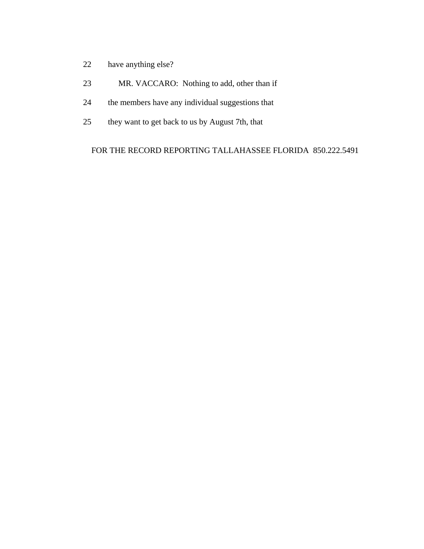- 22 have anything else?
- 23 MR. VACCARO: Nothing to add, other than if
- 24 the members have any individual suggestions that
- 25 they want to get back to us by August 7th, that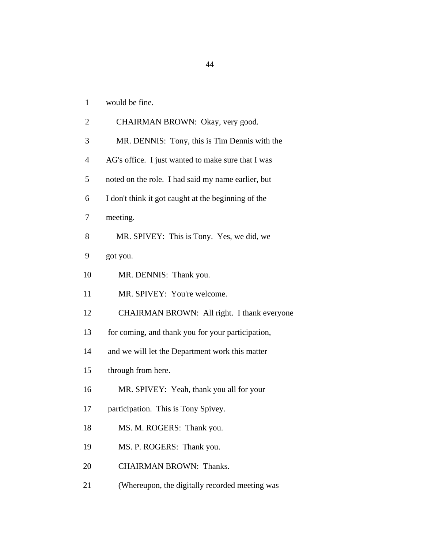| would be fine. |
|----------------|
|                |

| $\overline{2}$ | CHAIRMAN BROWN: Okay, very good.                    |
|----------------|-----------------------------------------------------|
| 3              | MR. DENNIS: Tony, this is Tim Dennis with the       |
| $\overline{4}$ | AG's office. I just wanted to make sure that I was  |
| 5              | noted on the role. I had said my name earlier, but  |
| 6              | I don't think it got caught at the beginning of the |
| 7              | meeting.                                            |
| 8              | MR. SPIVEY: This is Tony. Yes, we did, we           |
| 9              | got you.                                            |
| 10             | MR. DENNIS: Thank you.                              |
| 11             | MR. SPIVEY: You're welcome.                         |
| 12             | CHAIRMAN BROWN: All right. I thank everyone         |
| 13             | for coming, and thank you for your participation,   |
| 14             | and we will let the Department work this matter     |
| 15             | through from here.                                  |
| 16             | MR. SPIVEY: Yeah, thank you all for your            |
| 17             | participation. This is Tony Spivey.                 |
| 18             | MS. M. ROGERS: Thank you.                           |
| 19             | MS. P. ROGERS: Thank you.                           |
| 20             | <b>CHAIRMAN BROWN: Thanks.</b>                      |
| 21             | (Whereupon, the digitally recorded meeting was      |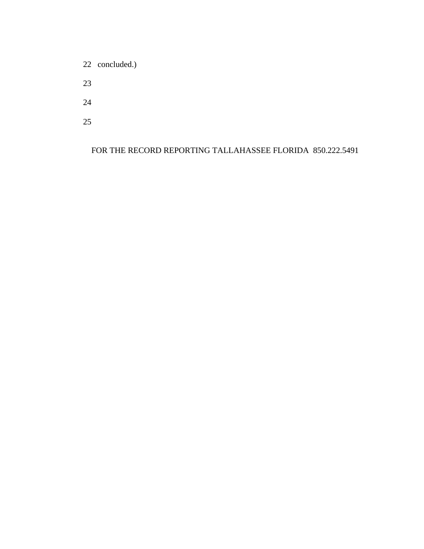22 concluded.)

23

24

25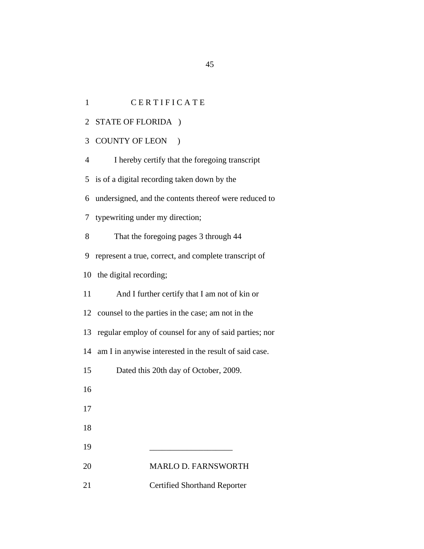1 CERTIFICATE

2 STATE OF FLORIDA )

3 COUNTY OF LEON )

4 I hereby certify that the foregoing transcript

5 is of a digital recording taken down by the

6 undersigned, and the contents thereof were reduced to

7 typewriting under my direction;

8 That the foregoing pages 3 through 44

9 represent a true, correct, and complete transcript of

10 the digital recording;

11 And I further certify that I am not of kin or

12 counsel to the parties in the case; am not in the

13 regular employ of counsel for any of said parties; nor

14 am I in anywise interested in the result of said case.

15 Dated this 20th day of October, 2009.

16

17

18

19 \_\_\_\_\_\_\_\_\_\_\_\_\_\_\_\_\_\_\_\_

20 MARLO D. FARNSWORTH

21 Certified Shorthand Reporter